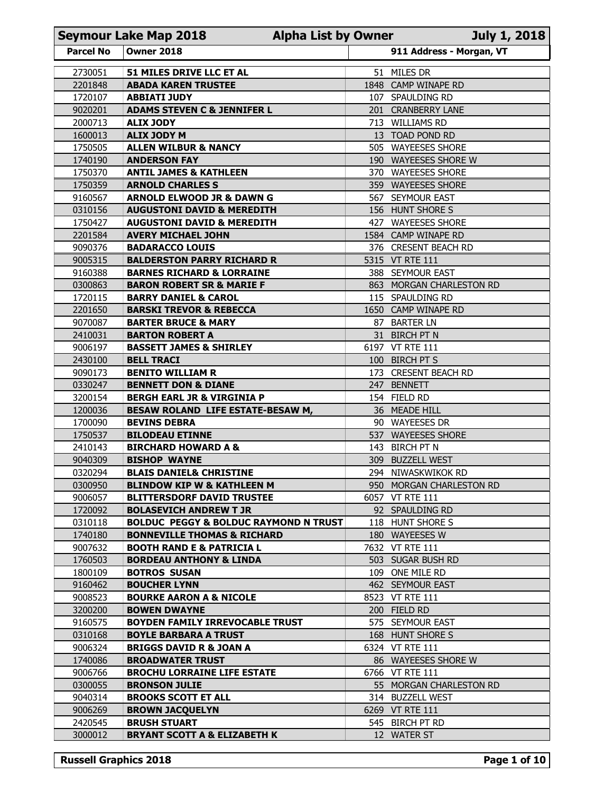|                    | <b>Seymour Lake Map 2018</b><br><b>Alpha List by Owner</b><br><b>July 1, 2018</b> |  |                                             |  |  |  |
|--------------------|-----------------------------------------------------------------------------------|--|---------------------------------------------|--|--|--|
| <b>Parcel No</b>   | <b>Owner 2018</b>                                                                 |  | 911 Address - Morgan, VT                    |  |  |  |
| 2730051            | 51 MILES DRIVE LLC ET AL                                                          |  | 51 MILES DR                                 |  |  |  |
| 2201848            | <b>ABADA KAREN TRUSTEE</b>                                                        |  | 1848 CAMP WINAPE RD                         |  |  |  |
| 1720107<br>9020201 | <b>ABBIATI JUDY</b><br><b>ADAMS STEVEN C &amp; JENNIFER L</b>                     |  | 107 SPAULDING RD<br>201 CRANBERRY LANE      |  |  |  |
| 2000713            | <b>ALIX JODY</b>                                                                  |  | 713 WILLIAMS RD                             |  |  |  |
| 1600013            | <b>ALIX JODY M</b>                                                                |  | 13 TOAD POND RD                             |  |  |  |
| 1750505            | <b>ALLEN WILBUR &amp; NANCY</b>                                                   |  | 505 WAYEESES SHORE                          |  |  |  |
| 1740190            | <b>ANDERSON FAY</b>                                                               |  | 190 WAYEESES SHORE W                        |  |  |  |
| 1750370<br>1750359 | <b>ANTIL JAMES &amp; KATHLEEN</b><br><b>ARNOLD CHARLES S</b>                      |  | 370 WAYEESES SHORE<br>359 WAYEESES SHORE    |  |  |  |
| 9160567            | <b>ARNOLD ELWOOD JR &amp; DAWN G</b>                                              |  | 567 SEYMOUR EAST                            |  |  |  |
| 0310156            | <b>AUGUSTONI DAVID &amp; MEREDITH</b>                                             |  | 156 HUNT SHORE S                            |  |  |  |
| 1750427            | <b>AUGUSTONI DAVID &amp; MEREDITH</b>                                             |  | 427 WAYEESES SHORE                          |  |  |  |
| 2201584<br>9090376 | <b>AVERY MICHAEL JOHN</b><br><b>BADARACCO LOUIS</b>                               |  | 1584 CAMP WINAPE RD<br>376 CRESENT BEACH RD |  |  |  |
| 9005315            | <b>BALDERSTON PARRY RICHARD R</b>                                                 |  | 5315 VT RTE 111                             |  |  |  |
| 9160388            | <b>BARNES RICHARD &amp; LORRAINE</b>                                              |  | 388 SEYMOUR EAST                            |  |  |  |
| 0300863            | <b>BARON ROBERT SR &amp; MARIE F</b>                                              |  | 863 MORGAN CHARLESTON RD                    |  |  |  |
| 1720115<br>2201650 | <b>BARRY DANIEL &amp; CAROL</b><br><b>BARSKI TREVOR &amp; REBECCA</b>             |  | 115 SPAULDING RD<br>1650 CAMP WINAPE RD     |  |  |  |
| 9070087            | <b>BARTER BRUCE &amp; MARY</b>                                                    |  | 87 BARTER LN                                |  |  |  |
| 2410031            | <b>BARTON ROBERT A</b>                                                            |  | 31 BIRCH PT N                               |  |  |  |
| 9006197            | <b>BASSETT JAMES &amp; SHIRLEY</b>                                                |  | 6197 VT RTE 111                             |  |  |  |
| 2430100<br>9090173 | <b>BELL TRACI</b><br><b>BENITO WILLIAM R</b>                                      |  | 100 BIRCH PT S<br>173 CRESENT BEACH RD      |  |  |  |
| 0330247            | <b>BENNETT DON &amp; DIANE</b>                                                    |  | 247 BENNETT                                 |  |  |  |
| 3200154            | <b>BERGH EARL JR &amp; VIRGINIA P</b>                                             |  | 154 FIELD RD                                |  |  |  |
| 1200036            | BESAW ROLAND LIFE ESTATE-BESAW M,                                                 |  | 36 MEADE HILL                               |  |  |  |
| 1700090            | <b>BEVINS DEBRA</b>                                                               |  | 90 WAYEESES DR                              |  |  |  |
| 1750537<br>2410143 | <b>BILODEAU ETINNE</b><br><b>BIRCHARD HOWARD A &amp;</b>                          |  | 537 WAYEESES SHORE<br>143 BIRCH PT N        |  |  |  |
| 9040309            | <b>BISHOP WAYNE</b>                                                               |  | 309 BUZZELL WEST                            |  |  |  |
| 0320294            | <b>BLAIS DANIEL&amp; CHRISTINE</b>                                                |  | 294 NIWASKWIKOK RD                          |  |  |  |
| 0300950            | <b>BLINDOW KIP W &amp; KATHLEEN M</b>                                             |  | 950 MORGAN CHARLESTON RD                    |  |  |  |
| 9006057<br>1720092 | <b>BLITTERSDORF DAVID TRUSTEE</b><br><b>BOLASEVICH ANDREW T JR</b>                |  | 6057 VT RTE 111<br>92 SPAULDING RD          |  |  |  |
| 0310118            | <b>BOLDUC PEGGY &amp; BOLDUC RAYMOND N TRUST</b>                                  |  | 118 HUNT SHORE S                            |  |  |  |
| 1740180            | <b>BONNEVILLE THOMAS &amp; RICHARD</b>                                            |  | 180 WAYEESES W                              |  |  |  |
| 9007632            | <b>BOOTH RAND E &amp; PATRICIA L</b>                                              |  | 7632 VT RTE 111                             |  |  |  |
| 1760503<br>1800109 | <b>BORDEAU ANTHONY &amp; LINDA</b><br><b>BOTROS SUSAN</b>                         |  | 503 SUGAR BUSH RD<br>109 ONE MILE RD        |  |  |  |
| 9160462            | <b>BOUCHER LYNN</b>                                                               |  | 462 SEYMOUR EAST                            |  |  |  |
| 9008523            | <b>BOURKE AARON A &amp; NICOLE</b>                                                |  | 8523 VT RTE 111                             |  |  |  |
| 3200200            | <b>BOWEN DWAYNE</b>                                                               |  | 200 FIELD RD                                |  |  |  |
| 9160575            | BOYDEN FAMILY IRREVOCABLE TRUST                                                   |  | 575 SEYMOUR EAST                            |  |  |  |
| 0310168<br>9006324 | <b>BOYLE BARBARA A TRUST</b><br><b>BRIGGS DAVID R &amp; JOAN A</b>                |  | 168 HUNT SHORE S<br>6324 VT RTE 111         |  |  |  |
| 1740086            | <b>BROADWATER TRUST</b>                                                           |  | 86 WAYEESES SHORE W                         |  |  |  |
| 9006766            | <b>BROCHU LORRAINE LIFE ESTATE</b>                                                |  | 6766 VT RTE 111                             |  |  |  |
| 0300055            | <b>BRONSON JULIE</b>                                                              |  | 55 MORGAN CHARLESTON RD                     |  |  |  |
| 9040314<br>9006269 | <b>BROOKS SCOTT ET ALL</b><br><b>BROWN JACQUELYN</b>                              |  | 314 BUZZELL WEST<br>6269 VT RTE 111         |  |  |  |
| 2420545            | <b>BRUSH STUART</b>                                                               |  | 545 BIRCH PT RD                             |  |  |  |
|                    | <b>BRYANT SCOTT A &amp; ELIZABETH K</b>                                           |  | 12 WATER ST                                 |  |  |  |
| 3000012            |                                                                                   |  |                                             |  |  |  |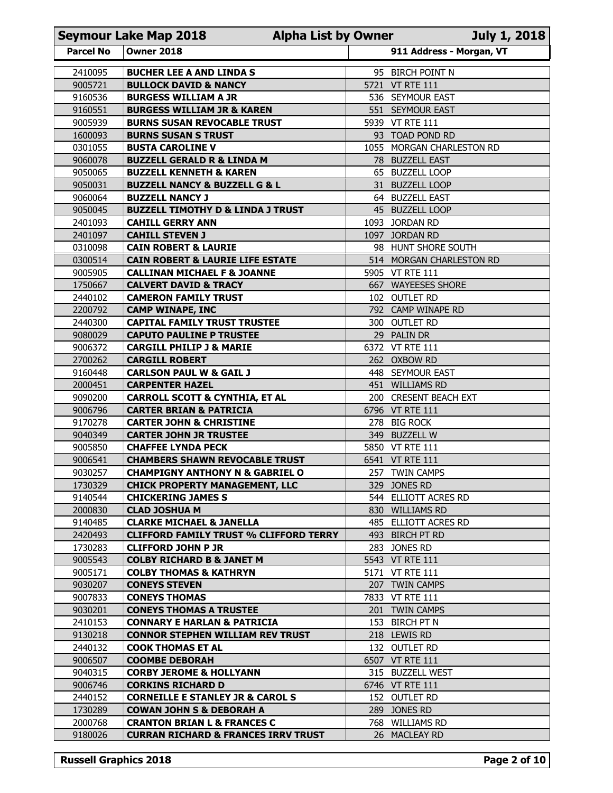| 911 Address - Morgan, VT<br><b>Parcel No</b><br><b>Owner 2018</b><br>2410095<br><b>BUCHER LEE A AND LINDA S</b><br>95 BIRCH POINT N<br>9005721<br><b>VT RTE 111</b><br><b>BULLOCK DAVID &amp; NANCY</b><br>5721<br>9160536<br><b>BURGESS WILLIAM A JR</b><br>536 SEYMOUR EAST<br>9160551<br><b>BURGESS WILLIAM JR &amp; KAREN</b><br>551 SEYMOUR EAST<br>9005939<br>5939 VT RTE 111<br><b>BURNS SUSAN REVOCABLE TRUST</b><br>1600093<br>93 TOAD POND RD<br><b>BURNS SUSAN S TRUST</b><br>0301055<br><b>BUSTA CAROLINE V</b><br>1055 MORGAN CHARLESTON RD<br>9060078<br><b>BUZZELL GERALD R &amp; LINDA M</b><br>78 BUZZELL EAST<br>9050065<br><b>BUZZELL KENNETH &amp; KAREN</b><br>65 BUZZELL LOOP<br>9050031<br><b>BUZZELL LOOP</b><br><b>BUZZELL NANCY &amp; BUZZELL G &amp; L</b><br>31<br>9060064<br><b>BUZZELL NANCY J</b><br>64 BUZZELL EAST<br>45 BUZZELL LOOP<br>9050045<br><b>BUZZELL TIMOTHY D &amp; LINDA J TRUST</b><br>2401093<br><b>CAHILL GERRY ANN</b><br>1093 JORDAN RD<br>2401097<br><b>CAHILL STEVEN J</b><br>1097 JORDAN RD<br>0310098<br><b>CAIN ROBERT &amp; LAURIE</b><br>98 HUNT SHORE SOUTH<br>0300514<br><b>CAIN ROBERT &amp; LAURIE LIFE ESTATE</b><br>514 MORGAN CHARLESTON RD<br>9005905<br><b>CALLINAN MICHAEL F &amp; JOANNE</b><br>5905 VT RTE 111<br>1750667<br>667 WAYEESES SHORE<br><b>CALVERT DAVID &amp; TRACY</b><br>2440102<br><b>CAMERON FAMILY TRUST</b><br>102 OUTLET RD<br>2200792<br>792 CAMP WINAPE RD<br><b>CAMP WINAPE, INC</b><br>2440300<br><b>CAPITAL FAMILY TRUST TRUSTEE</b><br>300 OUTLET RD<br>9080029<br><b>CAPUTO PAULINE P TRUSTEE</b><br>29 PALIN DR<br>9006372<br>6372 VT RTE 111<br><b>CARGILL PHILIP J &amp; MARIE</b><br>2700262<br><b>CARGILL ROBERT</b><br>262 OXBOW RD<br>9160448<br><b>CARLSON PAUL W &amp; GAIL J</b><br>448 SEYMOUR EAST<br>2000451<br><b>CARPENTER HAZEL</b><br>451 WILLIAMS RD<br>9090200<br><b>CARROLL SCOTT &amp; CYNTHIA, ET AL</b><br>200 CRESENT BEACH EXT<br>9006796<br><b>CARTER BRIAN &amp; PATRICIA</b><br>6796 VT RTE 111<br>9170278<br><b>CARTER JOHN &amp; CHRISTINE</b><br>278 BIG ROCK<br>9040349<br>349 BUZZELL W<br><b>CARTER JOHN JR TRUSTEE</b><br>9005850<br><b>CHAFFEE LYNDA PECK</b><br>5850 VT RTE 111<br>9006541<br><b>CHAMBERS SHAWN REVOCABLE TRUST</b><br>6541 VT RTE 111<br>9030257<br><b>CHAMPIGNY ANTHONY N &amp; GABRIEL O</b><br>257 TWIN CAMPS<br>1730329<br><b>CHICK PROPERTY MANAGEMENT, LLC</b><br>329 JONES RD<br>9140544<br><b>CHICKERING JAMES S</b><br>544 ELLIOTT ACRES RD<br>2000830<br>830 WILLIAMS RD<br><b>CLAD JOSHUA M</b><br><b>CLARKE MICHAEL &amp; JANELLA</b><br>9140485<br>485 ELLIOTT ACRES RD<br><b>CLIFFORD FAMILY TRUST % CLIFFORD TERRY</b><br>2420493<br>493 BIRCH PT RD<br>1730283<br><b>CLIFFORD JOHN P JR</b><br>283 JONES RD<br>9005543<br><b>COLBY RICHARD B &amp; JANET M</b><br>5543 VT RTE 111<br>9005171<br><b>COLBY THOMAS &amp; KATHRYN</b><br>5171 VT RTE 111<br>9030207<br>207 TWIN CAMPS<br><b>CONEYS STEVEN</b><br>9007833<br>7833 VT RTE 111<br><b>CONEYS THOMAS</b><br>9030201<br><b>CONEYS THOMAS A TRUSTEE</b><br>201 TWIN CAMPS<br>2410153<br>153 BIRCH PT N<br><b>CONNARY E HARLAN &amp; PATRICIA</b><br>9130218<br><b>CONNOR STEPHEN WILLIAM REV TRUST</b><br>218 LEWIS RD<br>2440132<br>132 OUTLET RD<br><b>COOK THOMAS ET AL</b><br>9006507<br>6507 VT RTE 111<br><b>COOMBE DEBORAH</b><br>9040315<br><b>CORBY JEROME &amp; HOLLYANN</b><br>315 BUZZELL WEST<br>9006746<br><b>CORKINS RICHARD D</b><br>6746 VT RTE 111<br>2440152<br><b>CORNEILLE E STANLEY JR &amp; CAROL S</b><br>152 OUTLET RD<br>1730289<br><b>COWAN JOHN S &amp; DEBORAH A</b><br>289 JONES RD<br>2000768<br><b>CRANTON BRIAN L &amp; FRANCES C</b><br><b>WILLIAMS RD</b><br>768<br>9180026<br><b>CURRAN RICHARD &amp; FRANCES IRRV TRUST</b><br>26 MACLEAY RD | <b>Seymour Lake Map 2018</b><br>July 1, 2018<br><b>Alpha List by Owner</b> |  |  |  |  |  |
|-------------------------------------------------------------------------------------------------------------------------------------------------------------------------------------------------------------------------------------------------------------------------------------------------------------------------------------------------------------------------------------------------------------------------------------------------------------------------------------------------------------------------------------------------------------------------------------------------------------------------------------------------------------------------------------------------------------------------------------------------------------------------------------------------------------------------------------------------------------------------------------------------------------------------------------------------------------------------------------------------------------------------------------------------------------------------------------------------------------------------------------------------------------------------------------------------------------------------------------------------------------------------------------------------------------------------------------------------------------------------------------------------------------------------------------------------------------------------------------------------------------------------------------------------------------------------------------------------------------------------------------------------------------------------------------------------------------------------------------------------------------------------------------------------------------------------------------------------------------------------------------------------------------------------------------------------------------------------------------------------------------------------------------------------------------------------------------------------------------------------------------------------------------------------------------------------------------------------------------------------------------------------------------------------------------------------------------------------------------------------------------------------------------------------------------------------------------------------------------------------------------------------------------------------------------------------------------------------------------------------------------------------------------------------------------------------------------------------------------------------------------------------------------------------------------------------------------------------------------------------------------------------------------------------------------------------------------------------------------------------------------------------------------------------------------------------------------------------------------------------------------------------------------------------------------------------------------------------------------------------------------------------------------------------------------------------------------------------------------------------------------------------------------------------------------------------------------------------------------------------------------------------------------------------------------------------------------------------------------------------------------------------------------------------------------------------------------------------------------------------------------------------------------------------------------|----------------------------------------------------------------------------|--|--|--|--|--|
|                                                                                                                                                                                                                                                                                                                                                                                                                                                                                                                                                                                                                                                                                                                                                                                                                                                                                                                                                                                                                                                                                                                                                                                                                                                                                                                                                                                                                                                                                                                                                                                                                                                                                                                                                                                                                                                                                                                                                                                                                                                                                                                                                                                                                                                                                                                                                                                                                                                                                                                                                                                                                                                                                                                                                                                                                                                                                                                                                                                                                                                                                                                                                                                                                                                                                                                                                                                                                                                                                                                                                                                                                                                                                                                                                                                                             |                                                                            |  |  |  |  |  |
|                                                                                                                                                                                                                                                                                                                                                                                                                                                                                                                                                                                                                                                                                                                                                                                                                                                                                                                                                                                                                                                                                                                                                                                                                                                                                                                                                                                                                                                                                                                                                                                                                                                                                                                                                                                                                                                                                                                                                                                                                                                                                                                                                                                                                                                                                                                                                                                                                                                                                                                                                                                                                                                                                                                                                                                                                                                                                                                                                                                                                                                                                                                                                                                                                                                                                                                                                                                                                                                                                                                                                                                                                                                                                                                                                                                                             |                                                                            |  |  |  |  |  |
|                                                                                                                                                                                                                                                                                                                                                                                                                                                                                                                                                                                                                                                                                                                                                                                                                                                                                                                                                                                                                                                                                                                                                                                                                                                                                                                                                                                                                                                                                                                                                                                                                                                                                                                                                                                                                                                                                                                                                                                                                                                                                                                                                                                                                                                                                                                                                                                                                                                                                                                                                                                                                                                                                                                                                                                                                                                                                                                                                                                                                                                                                                                                                                                                                                                                                                                                                                                                                                                                                                                                                                                                                                                                                                                                                                                                             |                                                                            |  |  |  |  |  |
|                                                                                                                                                                                                                                                                                                                                                                                                                                                                                                                                                                                                                                                                                                                                                                                                                                                                                                                                                                                                                                                                                                                                                                                                                                                                                                                                                                                                                                                                                                                                                                                                                                                                                                                                                                                                                                                                                                                                                                                                                                                                                                                                                                                                                                                                                                                                                                                                                                                                                                                                                                                                                                                                                                                                                                                                                                                                                                                                                                                                                                                                                                                                                                                                                                                                                                                                                                                                                                                                                                                                                                                                                                                                                                                                                                                                             |                                                                            |  |  |  |  |  |
|                                                                                                                                                                                                                                                                                                                                                                                                                                                                                                                                                                                                                                                                                                                                                                                                                                                                                                                                                                                                                                                                                                                                                                                                                                                                                                                                                                                                                                                                                                                                                                                                                                                                                                                                                                                                                                                                                                                                                                                                                                                                                                                                                                                                                                                                                                                                                                                                                                                                                                                                                                                                                                                                                                                                                                                                                                                                                                                                                                                                                                                                                                                                                                                                                                                                                                                                                                                                                                                                                                                                                                                                                                                                                                                                                                                                             |                                                                            |  |  |  |  |  |
|                                                                                                                                                                                                                                                                                                                                                                                                                                                                                                                                                                                                                                                                                                                                                                                                                                                                                                                                                                                                                                                                                                                                                                                                                                                                                                                                                                                                                                                                                                                                                                                                                                                                                                                                                                                                                                                                                                                                                                                                                                                                                                                                                                                                                                                                                                                                                                                                                                                                                                                                                                                                                                                                                                                                                                                                                                                                                                                                                                                                                                                                                                                                                                                                                                                                                                                                                                                                                                                                                                                                                                                                                                                                                                                                                                                                             |                                                                            |  |  |  |  |  |
|                                                                                                                                                                                                                                                                                                                                                                                                                                                                                                                                                                                                                                                                                                                                                                                                                                                                                                                                                                                                                                                                                                                                                                                                                                                                                                                                                                                                                                                                                                                                                                                                                                                                                                                                                                                                                                                                                                                                                                                                                                                                                                                                                                                                                                                                                                                                                                                                                                                                                                                                                                                                                                                                                                                                                                                                                                                                                                                                                                                                                                                                                                                                                                                                                                                                                                                                                                                                                                                                                                                                                                                                                                                                                                                                                                                                             |                                                                            |  |  |  |  |  |
|                                                                                                                                                                                                                                                                                                                                                                                                                                                                                                                                                                                                                                                                                                                                                                                                                                                                                                                                                                                                                                                                                                                                                                                                                                                                                                                                                                                                                                                                                                                                                                                                                                                                                                                                                                                                                                                                                                                                                                                                                                                                                                                                                                                                                                                                                                                                                                                                                                                                                                                                                                                                                                                                                                                                                                                                                                                                                                                                                                                                                                                                                                                                                                                                                                                                                                                                                                                                                                                                                                                                                                                                                                                                                                                                                                                                             |                                                                            |  |  |  |  |  |
|                                                                                                                                                                                                                                                                                                                                                                                                                                                                                                                                                                                                                                                                                                                                                                                                                                                                                                                                                                                                                                                                                                                                                                                                                                                                                                                                                                                                                                                                                                                                                                                                                                                                                                                                                                                                                                                                                                                                                                                                                                                                                                                                                                                                                                                                                                                                                                                                                                                                                                                                                                                                                                                                                                                                                                                                                                                                                                                                                                                                                                                                                                                                                                                                                                                                                                                                                                                                                                                                                                                                                                                                                                                                                                                                                                                                             |                                                                            |  |  |  |  |  |
|                                                                                                                                                                                                                                                                                                                                                                                                                                                                                                                                                                                                                                                                                                                                                                                                                                                                                                                                                                                                                                                                                                                                                                                                                                                                                                                                                                                                                                                                                                                                                                                                                                                                                                                                                                                                                                                                                                                                                                                                                                                                                                                                                                                                                                                                                                                                                                                                                                                                                                                                                                                                                                                                                                                                                                                                                                                                                                                                                                                                                                                                                                                                                                                                                                                                                                                                                                                                                                                                                                                                                                                                                                                                                                                                                                                                             |                                                                            |  |  |  |  |  |
|                                                                                                                                                                                                                                                                                                                                                                                                                                                                                                                                                                                                                                                                                                                                                                                                                                                                                                                                                                                                                                                                                                                                                                                                                                                                                                                                                                                                                                                                                                                                                                                                                                                                                                                                                                                                                                                                                                                                                                                                                                                                                                                                                                                                                                                                                                                                                                                                                                                                                                                                                                                                                                                                                                                                                                                                                                                                                                                                                                                                                                                                                                                                                                                                                                                                                                                                                                                                                                                                                                                                                                                                                                                                                                                                                                                                             |                                                                            |  |  |  |  |  |
|                                                                                                                                                                                                                                                                                                                                                                                                                                                                                                                                                                                                                                                                                                                                                                                                                                                                                                                                                                                                                                                                                                                                                                                                                                                                                                                                                                                                                                                                                                                                                                                                                                                                                                                                                                                                                                                                                                                                                                                                                                                                                                                                                                                                                                                                                                                                                                                                                                                                                                                                                                                                                                                                                                                                                                                                                                                                                                                                                                                                                                                                                                                                                                                                                                                                                                                                                                                                                                                                                                                                                                                                                                                                                                                                                                                                             |                                                                            |  |  |  |  |  |
|                                                                                                                                                                                                                                                                                                                                                                                                                                                                                                                                                                                                                                                                                                                                                                                                                                                                                                                                                                                                                                                                                                                                                                                                                                                                                                                                                                                                                                                                                                                                                                                                                                                                                                                                                                                                                                                                                                                                                                                                                                                                                                                                                                                                                                                                                                                                                                                                                                                                                                                                                                                                                                                                                                                                                                                                                                                                                                                                                                                                                                                                                                                                                                                                                                                                                                                                                                                                                                                                                                                                                                                                                                                                                                                                                                                                             |                                                                            |  |  |  |  |  |
|                                                                                                                                                                                                                                                                                                                                                                                                                                                                                                                                                                                                                                                                                                                                                                                                                                                                                                                                                                                                                                                                                                                                                                                                                                                                                                                                                                                                                                                                                                                                                                                                                                                                                                                                                                                                                                                                                                                                                                                                                                                                                                                                                                                                                                                                                                                                                                                                                                                                                                                                                                                                                                                                                                                                                                                                                                                                                                                                                                                                                                                                                                                                                                                                                                                                                                                                                                                                                                                                                                                                                                                                                                                                                                                                                                                                             |                                                                            |  |  |  |  |  |
|                                                                                                                                                                                                                                                                                                                                                                                                                                                                                                                                                                                                                                                                                                                                                                                                                                                                                                                                                                                                                                                                                                                                                                                                                                                                                                                                                                                                                                                                                                                                                                                                                                                                                                                                                                                                                                                                                                                                                                                                                                                                                                                                                                                                                                                                                                                                                                                                                                                                                                                                                                                                                                                                                                                                                                                                                                                                                                                                                                                                                                                                                                                                                                                                                                                                                                                                                                                                                                                                                                                                                                                                                                                                                                                                                                                                             |                                                                            |  |  |  |  |  |
|                                                                                                                                                                                                                                                                                                                                                                                                                                                                                                                                                                                                                                                                                                                                                                                                                                                                                                                                                                                                                                                                                                                                                                                                                                                                                                                                                                                                                                                                                                                                                                                                                                                                                                                                                                                                                                                                                                                                                                                                                                                                                                                                                                                                                                                                                                                                                                                                                                                                                                                                                                                                                                                                                                                                                                                                                                                                                                                                                                                                                                                                                                                                                                                                                                                                                                                                                                                                                                                                                                                                                                                                                                                                                                                                                                                                             |                                                                            |  |  |  |  |  |
|                                                                                                                                                                                                                                                                                                                                                                                                                                                                                                                                                                                                                                                                                                                                                                                                                                                                                                                                                                                                                                                                                                                                                                                                                                                                                                                                                                                                                                                                                                                                                                                                                                                                                                                                                                                                                                                                                                                                                                                                                                                                                                                                                                                                                                                                                                                                                                                                                                                                                                                                                                                                                                                                                                                                                                                                                                                                                                                                                                                                                                                                                                                                                                                                                                                                                                                                                                                                                                                                                                                                                                                                                                                                                                                                                                                                             |                                                                            |  |  |  |  |  |
|                                                                                                                                                                                                                                                                                                                                                                                                                                                                                                                                                                                                                                                                                                                                                                                                                                                                                                                                                                                                                                                                                                                                                                                                                                                                                                                                                                                                                                                                                                                                                                                                                                                                                                                                                                                                                                                                                                                                                                                                                                                                                                                                                                                                                                                                                                                                                                                                                                                                                                                                                                                                                                                                                                                                                                                                                                                                                                                                                                                                                                                                                                                                                                                                                                                                                                                                                                                                                                                                                                                                                                                                                                                                                                                                                                                                             |                                                                            |  |  |  |  |  |
|                                                                                                                                                                                                                                                                                                                                                                                                                                                                                                                                                                                                                                                                                                                                                                                                                                                                                                                                                                                                                                                                                                                                                                                                                                                                                                                                                                                                                                                                                                                                                                                                                                                                                                                                                                                                                                                                                                                                                                                                                                                                                                                                                                                                                                                                                                                                                                                                                                                                                                                                                                                                                                                                                                                                                                                                                                                                                                                                                                                                                                                                                                                                                                                                                                                                                                                                                                                                                                                                                                                                                                                                                                                                                                                                                                                                             |                                                                            |  |  |  |  |  |
|                                                                                                                                                                                                                                                                                                                                                                                                                                                                                                                                                                                                                                                                                                                                                                                                                                                                                                                                                                                                                                                                                                                                                                                                                                                                                                                                                                                                                                                                                                                                                                                                                                                                                                                                                                                                                                                                                                                                                                                                                                                                                                                                                                                                                                                                                                                                                                                                                                                                                                                                                                                                                                                                                                                                                                                                                                                                                                                                                                                                                                                                                                                                                                                                                                                                                                                                                                                                                                                                                                                                                                                                                                                                                                                                                                                                             |                                                                            |  |  |  |  |  |
|                                                                                                                                                                                                                                                                                                                                                                                                                                                                                                                                                                                                                                                                                                                                                                                                                                                                                                                                                                                                                                                                                                                                                                                                                                                                                                                                                                                                                                                                                                                                                                                                                                                                                                                                                                                                                                                                                                                                                                                                                                                                                                                                                                                                                                                                                                                                                                                                                                                                                                                                                                                                                                                                                                                                                                                                                                                                                                                                                                                                                                                                                                                                                                                                                                                                                                                                                                                                                                                                                                                                                                                                                                                                                                                                                                                                             |                                                                            |  |  |  |  |  |
|                                                                                                                                                                                                                                                                                                                                                                                                                                                                                                                                                                                                                                                                                                                                                                                                                                                                                                                                                                                                                                                                                                                                                                                                                                                                                                                                                                                                                                                                                                                                                                                                                                                                                                                                                                                                                                                                                                                                                                                                                                                                                                                                                                                                                                                                                                                                                                                                                                                                                                                                                                                                                                                                                                                                                                                                                                                                                                                                                                                                                                                                                                                                                                                                                                                                                                                                                                                                                                                                                                                                                                                                                                                                                                                                                                                                             |                                                                            |  |  |  |  |  |
|                                                                                                                                                                                                                                                                                                                                                                                                                                                                                                                                                                                                                                                                                                                                                                                                                                                                                                                                                                                                                                                                                                                                                                                                                                                                                                                                                                                                                                                                                                                                                                                                                                                                                                                                                                                                                                                                                                                                                                                                                                                                                                                                                                                                                                                                                                                                                                                                                                                                                                                                                                                                                                                                                                                                                                                                                                                                                                                                                                                                                                                                                                                                                                                                                                                                                                                                                                                                                                                                                                                                                                                                                                                                                                                                                                                                             |                                                                            |  |  |  |  |  |
|                                                                                                                                                                                                                                                                                                                                                                                                                                                                                                                                                                                                                                                                                                                                                                                                                                                                                                                                                                                                                                                                                                                                                                                                                                                                                                                                                                                                                                                                                                                                                                                                                                                                                                                                                                                                                                                                                                                                                                                                                                                                                                                                                                                                                                                                                                                                                                                                                                                                                                                                                                                                                                                                                                                                                                                                                                                                                                                                                                                                                                                                                                                                                                                                                                                                                                                                                                                                                                                                                                                                                                                                                                                                                                                                                                                                             |                                                                            |  |  |  |  |  |
|                                                                                                                                                                                                                                                                                                                                                                                                                                                                                                                                                                                                                                                                                                                                                                                                                                                                                                                                                                                                                                                                                                                                                                                                                                                                                                                                                                                                                                                                                                                                                                                                                                                                                                                                                                                                                                                                                                                                                                                                                                                                                                                                                                                                                                                                                                                                                                                                                                                                                                                                                                                                                                                                                                                                                                                                                                                                                                                                                                                                                                                                                                                                                                                                                                                                                                                                                                                                                                                                                                                                                                                                                                                                                                                                                                                                             |                                                                            |  |  |  |  |  |
|                                                                                                                                                                                                                                                                                                                                                                                                                                                                                                                                                                                                                                                                                                                                                                                                                                                                                                                                                                                                                                                                                                                                                                                                                                                                                                                                                                                                                                                                                                                                                                                                                                                                                                                                                                                                                                                                                                                                                                                                                                                                                                                                                                                                                                                                                                                                                                                                                                                                                                                                                                                                                                                                                                                                                                                                                                                                                                                                                                                                                                                                                                                                                                                                                                                                                                                                                                                                                                                                                                                                                                                                                                                                                                                                                                                                             |                                                                            |  |  |  |  |  |
|                                                                                                                                                                                                                                                                                                                                                                                                                                                                                                                                                                                                                                                                                                                                                                                                                                                                                                                                                                                                                                                                                                                                                                                                                                                                                                                                                                                                                                                                                                                                                                                                                                                                                                                                                                                                                                                                                                                                                                                                                                                                                                                                                                                                                                                                                                                                                                                                                                                                                                                                                                                                                                                                                                                                                                                                                                                                                                                                                                                                                                                                                                                                                                                                                                                                                                                                                                                                                                                                                                                                                                                                                                                                                                                                                                                                             |                                                                            |  |  |  |  |  |
|                                                                                                                                                                                                                                                                                                                                                                                                                                                                                                                                                                                                                                                                                                                                                                                                                                                                                                                                                                                                                                                                                                                                                                                                                                                                                                                                                                                                                                                                                                                                                                                                                                                                                                                                                                                                                                                                                                                                                                                                                                                                                                                                                                                                                                                                                                                                                                                                                                                                                                                                                                                                                                                                                                                                                                                                                                                                                                                                                                                                                                                                                                                                                                                                                                                                                                                                                                                                                                                                                                                                                                                                                                                                                                                                                                                                             |                                                                            |  |  |  |  |  |
|                                                                                                                                                                                                                                                                                                                                                                                                                                                                                                                                                                                                                                                                                                                                                                                                                                                                                                                                                                                                                                                                                                                                                                                                                                                                                                                                                                                                                                                                                                                                                                                                                                                                                                                                                                                                                                                                                                                                                                                                                                                                                                                                                                                                                                                                                                                                                                                                                                                                                                                                                                                                                                                                                                                                                                                                                                                                                                                                                                                                                                                                                                                                                                                                                                                                                                                                                                                                                                                                                                                                                                                                                                                                                                                                                                                                             |                                                                            |  |  |  |  |  |
|                                                                                                                                                                                                                                                                                                                                                                                                                                                                                                                                                                                                                                                                                                                                                                                                                                                                                                                                                                                                                                                                                                                                                                                                                                                                                                                                                                                                                                                                                                                                                                                                                                                                                                                                                                                                                                                                                                                                                                                                                                                                                                                                                                                                                                                                                                                                                                                                                                                                                                                                                                                                                                                                                                                                                                                                                                                                                                                                                                                                                                                                                                                                                                                                                                                                                                                                                                                                                                                                                                                                                                                                                                                                                                                                                                                                             |                                                                            |  |  |  |  |  |
|                                                                                                                                                                                                                                                                                                                                                                                                                                                                                                                                                                                                                                                                                                                                                                                                                                                                                                                                                                                                                                                                                                                                                                                                                                                                                                                                                                                                                                                                                                                                                                                                                                                                                                                                                                                                                                                                                                                                                                                                                                                                                                                                                                                                                                                                                                                                                                                                                                                                                                                                                                                                                                                                                                                                                                                                                                                                                                                                                                                                                                                                                                                                                                                                                                                                                                                                                                                                                                                                                                                                                                                                                                                                                                                                                                                                             |                                                                            |  |  |  |  |  |
|                                                                                                                                                                                                                                                                                                                                                                                                                                                                                                                                                                                                                                                                                                                                                                                                                                                                                                                                                                                                                                                                                                                                                                                                                                                                                                                                                                                                                                                                                                                                                                                                                                                                                                                                                                                                                                                                                                                                                                                                                                                                                                                                                                                                                                                                                                                                                                                                                                                                                                                                                                                                                                                                                                                                                                                                                                                                                                                                                                                                                                                                                                                                                                                                                                                                                                                                                                                                                                                                                                                                                                                                                                                                                                                                                                                                             |                                                                            |  |  |  |  |  |
|                                                                                                                                                                                                                                                                                                                                                                                                                                                                                                                                                                                                                                                                                                                                                                                                                                                                                                                                                                                                                                                                                                                                                                                                                                                                                                                                                                                                                                                                                                                                                                                                                                                                                                                                                                                                                                                                                                                                                                                                                                                                                                                                                                                                                                                                                                                                                                                                                                                                                                                                                                                                                                                                                                                                                                                                                                                                                                                                                                                                                                                                                                                                                                                                                                                                                                                                                                                                                                                                                                                                                                                                                                                                                                                                                                                                             |                                                                            |  |  |  |  |  |
|                                                                                                                                                                                                                                                                                                                                                                                                                                                                                                                                                                                                                                                                                                                                                                                                                                                                                                                                                                                                                                                                                                                                                                                                                                                                                                                                                                                                                                                                                                                                                                                                                                                                                                                                                                                                                                                                                                                                                                                                                                                                                                                                                                                                                                                                                                                                                                                                                                                                                                                                                                                                                                                                                                                                                                                                                                                                                                                                                                                                                                                                                                                                                                                                                                                                                                                                                                                                                                                                                                                                                                                                                                                                                                                                                                                                             |                                                                            |  |  |  |  |  |
|                                                                                                                                                                                                                                                                                                                                                                                                                                                                                                                                                                                                                                                                                                                                                                                                                                                                                                                                                                                                                                                                                                                                                                                                                                                                                                                                                                                                                                                                                                                                                                                                                                                                                                                                                                                                                                                                                                                                                                                                                                                                                                                                                                                                                                                                                                                                                                                                                                                                                                                                                                                                                                                                                                                                                                                                                                                                                                                                                                                                                                                                                                                                                                                                                                                                                                                                                                                                                                                                                                                                                                                                                                                                                                                                                                                                             |                                                                            |  |  |  |  |  |
|                                                                                                                                                                                                                                                                                                                                                                                                                                                                                                                                                                                                                                                                                                                                                                                                                                                                                                                                                                                                                                                                                                                                                                                                                                                                                                                                                                                                                                                                                                                                                                                                                                                                                                                                                                                                                                                                                                                                                                                                                                                                                                                                                                                                                                                                                                                                                                                                                                                                                                                                                                                                                                                                                                                                                                                                                                                                                                                                                                                                                                                                                                                                                                                                                                                                                                                                                                                                                                                                                                                                                                                                                                                                                                                                                                                                             |                                                                            |  |  |  |  |  |
|                                                                                                                                                                                                                                                                                                                                                                                                                                                                                                                                                                                                                                                                                                                                                                                                                                                                                                                                                                                                                                                                                                                                                                                                                                                                                                                                                                                                                                                                                                                                                                                                                                                                                                                                                                                                                                                                                                                                                                                                                                                                                                                                                                                                                                                                                                                                                                                                                                                                                                                                                                                                                                                                                                                                                                                                                                                                                                                                                                                                                                                                                                                                                                                                                                                                                                                                                                                                                                                                                                                                                                                                                                                                                                                                                                                                             |                                                                            |  |  |  |  |  |
|                                                                                                                                                                                                                                                                                                                                                                                                                                                                                                                                                                                                                                                                                                                                                                                                                                                                                                                                                                                                                                                                                                                                                                                                                                                                                                                                                                                                                                                                                                                                                                                                                                                                                                                                                                                                                                                                                                                                                                                                                                                                                                                                                                                                                                                                                                                                                                                                                                                                                                                                                                                                                                                                                                                                                                                                                                                                                                                                                                                                                                                                                                                                                                                                                                                                                                                                                                                                                                                                                                                                                                                                                                                                                                                                                                                                             |                                                                            |  |  |  |  |  |
|                                                                                                                                                                                                                                                                                                                                                                                                                                                                                                                                                                                                                                                                                                                                                                                                                                                                                                                                                                                                                                                                                                                                                                                                                                                                                                                                                                                                                                                                                                                                                                                                                                                                                                                                                                                                                                                                                                                                                                                                                                                                                                                                                                                                                                                                                                                                                                                                                                                                                                                                                                                                                                                                                                                                                                                                                                                                                                                                                                                                                                                                                                                                                                                                                                                                                                                                                                                                                                                                                                                                                                                                                                                                                                                                                                                                             |                                                                            |  |  |  |  |  |
|                                                                                                                                                                                                                                                                                                                                                                                                                                                                                                                                                                                                                                                                                                                                                                                                                                                                                                                                                                                                                                                                                                                                                                                                                                                                                                                                                                                                                                                                                                                                                                                                                                                                                                                                                                                                                                                                                                                                                                                                                                                                                                                                                                                                                                                                                                                                                                                                                                                                                                                                                                                                                                                                                                                                                                                                                                                                                                                                                                                                                                                                                                                                                                                                                                                                                                                                                                                                                                                                                                                                                                                                                                                                                                                                                                                                             |                                                                            |  |  |  |  |  |
|                                                                                                                                                                                                                                                                                                                                                                                                                                                                                                                                                                                                                                                                                                                                                                                                                                                                                                                                                                                                                                                                                                                                                                                                                                                                                                                                                                                                                                                                                                                                                                                                                                                                                                                                                                                                                                                                                                                                                                                                                                                                                                                                                                                                                                                                                                                                                                                                                                                                                                                                                                                                                                                                                                                                                                                                                                                                                                                                                                                                                                                                                                                                                                                                                                                                                                                                                                                                                                                                                                                                                                                                                                                                                                                                                                                                             |                                                                            |  |  |  |  |  |
|                                                                                                                                                                                                                                                                                                                                                                                                                                                                                                                                                                                                                                                                                                                                                                                                                                                                                                                                                                                                                                                                                                                                                                                                                                                                                                                                                                                                                                                                                                                                                                                                                                                                                                                                                                                                                                                                                                                                                                                                                                                                                                                                                                                                                                                                                                                                                                                                                                                                                                                                                                                                                                                                                                                                                                                                                                                                                                                                                                                                                                                                                                                                                                                                                                                                                                                                                                                                                                                                                                                                                                                                                                                                                                                                                                                                             |                                                                            |  |  |  |  |  |
|                                                                                                                                                                                                                                                                                                                                                                                                                                                                                                                                                                                                                                                                                                                                                                                                                                                                                                                                                                                                                                                                                                                                                                                                                                                                                                                                                                                                                                                                                                                                                                                                                                                                                                                                                                                                                                                                                                                                                                                                                                                                                                                                                                                                                                                                                                                                                                                                                                                                                                                                                                                                                                                                                                                                                                                                                                                                                                                                                                                                                                                                                                                                                                                                                                                                                                                                                                                                                                                                                                                                                                                                                                                                                                                                                                                                             |                                                                            |  |  |  |  |  |
|                                                                                                                                                                                                                                                                                                                                                                                                                                                                                                                                                                                                                                                                                                                                                                                                                                                                                                                                                                                                                                                                                                                                                                                                                                                                                                                                                                                                                                                                                                                                                                                                                                                                                                                                                                                                                                                                                                                                                                                                                                                                                                                                                                                                                                                                                                                                                                                                                                                                                                                                                                                                                                                                                                                                                                                                                                                                                                                                                                                                                                                                                                                                                                                                                                                                                                                                                                                                                                                                                                                                                                                                                                                                                                                                                                                                             |                                                                            |  |  |  |  |  |
|                                                                                                                                                                                                                                                                                                                                                                                                                                                                                                                                                                                                                                                                                                                                                                                                                                                                                                                                                                                                                                                                                                                                                                                                                                                                                                                                                                                                                                                                                                                                                                                                                                                                                                                                                                                                                                                                                                                                                                                                                                                                                                                                                                                                                                                                                                                                                                                                                                                                                                                                                                                                                                                                                                                                                                                                                                                                                                                                                                                                                                                                                                                                                                                                                                                                                                                                                                                                                                                                                                                                                                                                                                                                                                                                                                                                             |                                                                            |  |  |  |  |  |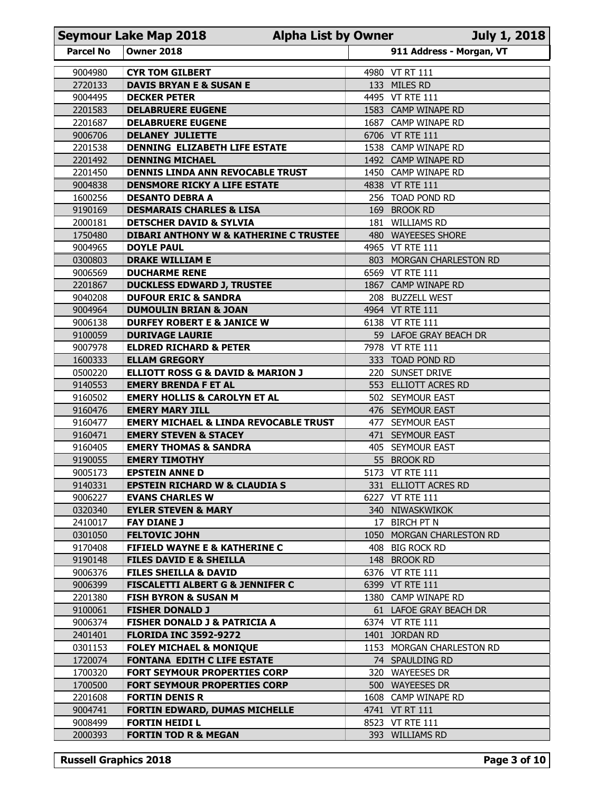|                    | <b>Seymour Lake Map 2018</b>                                                    | <b>Alpha List by Owner</b> |                                             | <b>July 1, 2018</b> |
|--------------------|---------------------------------------------------------------------------------|----------------------------|---------------------------------------------|---------------------|
| <b>Parcel No</b>   | <b>Owner 2018</b>                                                               |                            | 911 Address - Morgan, VT                    |                     |
| 9004980            | <b>CYR TOM GILBERT</b>                                                          |                            | 4980 VT RT 111                              |                     |
| 2720133            | <b>DAVIS BRYAN E &amp; SUSAN E</b>                                              |                            | 133 MILES RD                                |                     |
| 9004495            | <b>DECKER PETER</b>                                                             |                            | 4495 VT RTE 111                             |                     |
| 2201583<br>2201687 | <b>DELABRUERE EUGENE</b><br><b>DELABRUERE EUGENE</b>                            |                            | 1583 CAMP WINAPE RD<br>1687 CAMP WINAPE RD  |                     |
| 9006706            | <b>DELANEY JULIETTE</b>                                                         |                            | 6706 VT RTE 111                             |                     |
| 2201538            | DENNING ELIZABETH LIFE ESTATE                                                   |                            | 1538 CAMP WINAPE RD                         |                     |
| 2201492            | <b>DENNING MICHAEL</b>                                                          |                            | 1492 CAMP WINAPE RD                         |                     |
| 2201450            | DENNIS LINDA ANN REVOCABLE TRUST                                                | 1450                       | <b>CAMP WINAPE RD</b>                       |                     |
| 9004838<br>1600256 | <b>DENSMORE RICKY A LIFE ESTATE</b><br><b>DESANTO DEBRA A</b>                   |                            | 4838 VT RTE 111<br>256 TOAD POND RD         |                     |
| 9190169            | <b>DESMARAIS CHARLES &amp; LISA</b>                                             |                            | 169 BROOK RD                                |                     |
| 2000181            | <b>DETSCHER DAVID &amp; SYLVIA</b>                                              |                            | 181 WILLIAMS RD                             |                     |
| 1750480            | <b>DIBARI ANTHONY W &amp; KATHERINE C TRUSTEE</b><br><b>DOYLE PAUL</b>          | 480                        | <b>WAYEESES SHORE</b><br>4965 VT RTE 111    |                     |
| 9004965<br>0300803 | <b>DRAKE WILLIAM E</b>                                                          |                            | 803 MORGAN CHARLESTON RD                    |                     |
| 9006569            | <b>DUCHARME RENE</b>                                                            |                            | 6569 VT RTE 111                             |                     |
| 2201867            | <b>DUCKLESS EDWARD J, TRUSTEE</b>                                               |                            | 1867 CAMP WINAPE RD                         |                     |
| 9040208            | <b>DUFOUR ERIC &amp; SANDRA</b>                                                 |                            | 208 BUZZELL WEST                            |                     |
| 9004964<br>9006138 | <b>DUMOULIN BRIAN &amp; JOAN</b><br><b>DURFEY ROBERT E &amp; JANICE W</b>       |                            | 4964 VT RTE 111<br>6138 VT RTE 111          |                     |
| 9100059            | <b>DURIVAGE LAURIE</b>                                                          |                            | 59 LAFOE GRAY BEACH DR                      |                     |
| 9007978            | <b>ELDRED RICHARD &amp; PETER</b>                                               |                            | 7978 VT RTE 111                             |                     |
| 1600333            | <b>ELLAM GREGORY</b>                                                            |                            | 333 TOAD POND RD                            |                     |
| 0500220<br>9140553 | <b>ELLIOTT ROSS G &amp; DAVID &amp; MARION J</b><br><b>EMERY BRENDA F ET AL</b> |                            | 220 SUNSET DRIVE<br>553 ELLIOTT ACRES RD    |                     |
| 9160502            | <b>EMERY HOLLIS &amp; CAROLYN ET AL</b>                                         |                            | 502 SEYMOUR EAST                            |                     |
| 9160476            | <b>EMERY MARY JILL</b>                                                          |                            | 476 SEYMOUR EAST                            |                     |
| 9160477            | <b>EMERY MICHAEL &amp; LINDA REVOCABLE TRUST</b>                                |                            | 477 SEYMOUR EAST                            |                     |
| 9160471<br>9160405 | <b>EMERY STEVEN &amp; STACEY</b><br><b>EMERY THOMAS &amp; SANDRA</b>            |                            | 471 SEYMOUR EAST<br>405 SEYMOUR EAST        |                     |
| 9190055            | <b>EMERY TIMOTHY</b>                                                            |                            | 55 BROOK RD                                 |                     |
| 9005173            | <b>EPSTEIN ANNE D</b>                                                           |                            | 5173 VT RTE 111                             |                     |
| 9140331            | <b>EPSTEIN RICHARD W &amp; CLAUDIA S</b>                                        |                            | 331 ELLIOTT ACRES RD                        |                     |
| 9006227<br>0320340 | <b>EVANS CHARLES W</b><br><b>EYLER STEVEN &amp; MARY</b>                        |                            | 6227 VT RTE 111<br>340 NIWASKWIKOK          |                     |
| 2410017            | <b>FAY DIANE J</b>                                                              |                            | 17 BIRCH PT N                               |                     |
| 0301050            | <b>FELTOVIC JOHN</b>                                                            |                            | 1050 MORGAN CHARLESTON RD                   |                     |
| 9170408            | <b>FIFIELD WAYNE E &amp; KATHERINE C</b>                                        |                            | 408 BIG ROCK RD                             |                     |
| 9190148            | <b>FILES DAVID E &amp; SHEILLA</b>                                              |                            | 148 BROOK RD                                |                     |
| 9006376<br>9006399 | <b>FILES SHEILLA &amp; DAVID</b><br><b>FISCALETTI ALBERT G &amp; JENNIFER C</b> |                            | 6376 VT RTE 111<br>6399 VT RTE 111          |                     |
| 2201380            | <b>FISH BYRON &amp; SUSAN M</b>                                                 |                            | 1380 CAMP WINAPE RD                         |                     |
| 9100061            | <b>FISHER DONALD J</b>                                                          |                            | 61 LAFOE GRAY BEACH DR                      |                     |
| 9006374            | <b>FISHER DONALD J &amp; PATRICIA A</b>                                         |                            | 6374 VT RTE 111                             |                     |
| 2401401<br>0301153 | <b>FLORIDA INC 3592-9272</b><br><b>FOLEY MICHAEL &amp; MONIQUE</b>              |                            | 1401 JORDAN RD<br>1153 MORGAN CHARLESTON RD |                     |
| 1720074            | <b>FONTANA EDITH C LIFE ESTATE</b>                                              |                            | 74 SPAULDING RD                             |                     |
| 1700320            | FORT SEYMOUR PROPERTIES CORP                                                    |                            | 320 WAYEESES DR                             |                     |
| 1700500            | FORT SEYMOUR PROPERTIES CORP                                                    |                            | 500 WAYEESES DR                             |                     |
| 2201608<br>9004741 | <b>FORTIN DENIS R</b><br>FORTIN EDWARD, DUMAS MICHELLE                          |                            | 1608 CAMP WINAPE RD<br>4741 VT RT 111       |                     |
| 9008499            | <b>FORTIN HEIDI L</b>                                                           |                            | 8523 VT RTE 111                             |                     |
| 2000393            | <b>FORTIN TOD R &amp; MEGAN</b>                                                 |                            | 393 WILLIAMS RD                             |                     |
|                    |                                                                                 |                            |                                             |                     |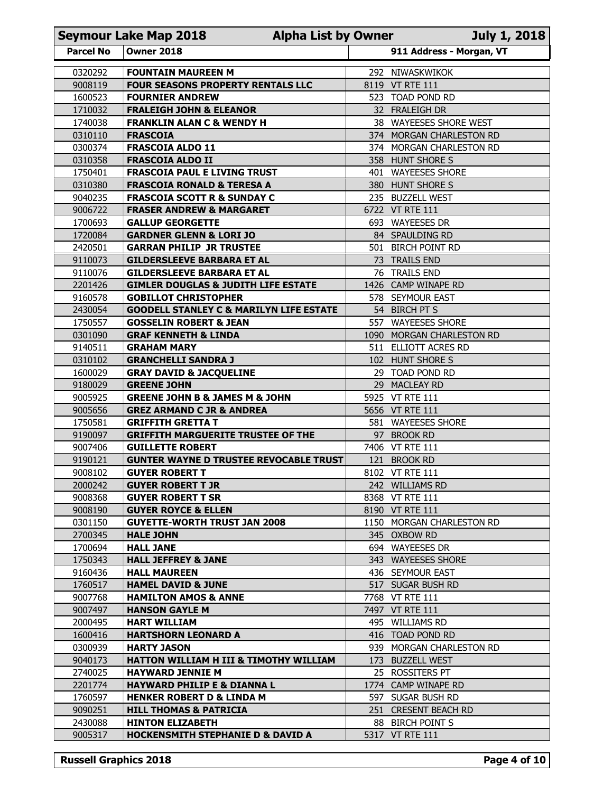|                    | <b>Seymour Lake Map 2018</b>                                                            | <b>Alpha List by Owner</b> |                                                    | <b>July 1, 2018</b> |
|--------------------|-----------------------------------------------------------------------------------------|----------------------------|----------------------------------------------------|---------------------|
| <b>Parcel No</b>   | <b>Owner 2018</b>                                                                       |                            | 911 Address - Morgan, VT                           |                     |
| 0320292            | <b>FOUNTAIN MAUREEN M</b>                                                               | 292                        | NIWASKWIKOK                                        |                     |
| 9008119            | <b>FOUR SEASONS PROPERTY RENTALS LLC</b>                                                | 8119                       | <b>VT RTE 111</b>                                  |                     |
| 1600523            | <b>FOURNIER ANDREW</b>                                                                  |                            | 523 TOAD POND RD                                   |                     |
| 1710032<br>1740038 | <b>FRALEIGH JOHN &amp; ELEANOR</b>                                                      |                            | 32 FRALEIGH DR                                     |                     |
| 0310110            | <b>FRANKLIN ALAN C &amp; WENDY H</b><br><b>FRASCOIA</b>                                 |                            | 38 WAYEESES SHORE WEST<br>374 MORGAN CHARLESTON RD |                     |
| 0300374            | <b>FRASCOIA ALDO 11</b>                                                                 |                            | 374 MORGAN CHARLESTON RD                           |                     |
| 0310358            | <b>FRASCOIA ALDO II</b>                                                                 |                            | 358 HUNT SHORE S                                   |                     |
| 1750401            | <b>FRASCOIA PAUL E LIVING TRUST</b>                                                     | 401                        | <b>WAYEESES SHORE</b>                              |                     |
| 0310380<br>9040235 | <b>FRASCOIA RONALD &amp; TERESA A</b><br><b>FRASCOIA SCOTT R &amp; SUNDAY C</b>         |                            | 380 HUNT SHORE S<br>235 BUZZELL WEST               |                     |
| 9006722            | <b>FRASER ANDREW &amp; MARGARET</b>                                                     |                            | 6722 VT RTE 111                                    |                     |
| 1700693            | <b>GALLUP GEORGETTE</b>                                                                 |                            | 693 WAYEESES DR                                    |                     |
| 1720084            | <b>GARDNER GLENN &amp; LORI JO</b>                                                      |                            | 84 SPAULDING RD                                    |                     |
| 2420501<br>9110073 | <b>GARRAN PHILIP JR TRUSTEE</b><br><b>GILDERSLEEVE BARBARA ET AL</b>                    |                            | 501 BIRCH POINT RD<br>73 TRAILS END                |                     |
| 9110076            | <b>GILDERSLEEVE BARBARA ET AL</b>                                                       |                            | 76 TRAILS END                                      |                     |
| 2201426            | <b>GIMLER DOUGLAS &amp; JUDITH LIFE ESTATE</b>                                          |                            | 1426 CAMP WINAPE RD                                |                     |
| 9160578            | <b>GOBILLOT CHRISTOPHER</b>                                                             |                            | 578 SEYMOUR EAST                                   |                     |
| 2430054<br>1750557 | <b>GOODELL STANLEY C &amp; MARILYN LIFE ESTATE</b><br><b>GOSSELIN ROBERT &amp; JEAN</b> |                            | 54 BIRCH PT S<br>557 WAYEESES SHORE                |                     |
| 0301090            | <b>GRAF KENNETH &amp; LINDA</b>                                                         |                            | 1090 MORGAN CHARLESTON RD                          |                     |
| 9140511            | <b>GRAHAM MARY</b>                                                                      |                            | 511 ELLIOTT ACRES RD                               |                     |
| 0310102            | <b>GRANCHELLI SANDRA J</b>                                                              |                            | 102 HUNT SHORE S                                   |                     |
| 1600029<br>9180029 | <b>GRAY DAVID &amp; JACQUELINE</b><br><b>GREENE JOHN</b>                                |                            | 29 TOAD POND RD<br>29 MACLEAY RD                   |                     |
| 9005925            | <b>GREENE JOHN B &amp; JAMES M &amp; JOHN</b>                                           |                            | 5925 VT RTE 111                                    |                     |
| 9005656            | <b>GREZ ARMAND C JR &amp; ANDREA</b>                                                    |                            | 5656 VT RTE 111                                    |                     |
| 1750581            | <b>GRIFFITH GRETTA T</b>                                                                |                            | 581 WAYEESES SHORE                                 |                     |
| 9190097<br>9007406 | <b>GRIFFITH MARGUERITE TRUSTEE OF THE</b><br><b>GUILLETTE ROBERT</b>                    |                            | 97 BROOK RD<br>7406 VT RTE 111                     |                     |
| 9190121            | <b>GUNTER WAYNE D TRUSTEE REVOCABLE TRUST</b>                                           |                            | 121 BROOK RD                                       |                     |
| 9008102            | <b>GUYER ROBERT T</b>                                                                   |                            | 8102 VT RTE 111                                    |                     |
| 2000242            | <b>GUYER ROBERT T JR</b>                                                                |                            | 242 WILLIAMS RD                                    |                     |
| 9008368<br>9008190 | <b>GUYER ROBERT T SR</b><br><b>GUYER ROYCE &amp; ELLEN</b>                              |                            | 8368 VT RTE 111<br>8190 VT RTE 111                 |                     |
| 0301150            | <b>GUYETTE-WORTH TRUST JAN 2008</b>                                                     |                            | 1150 MORGAN CHARLESTON RD                          |                     |
| 2700345            | <b>HALE JOHN</b>                                                                        |                            | 345 OXBOW RD                                       |                     |
| 1700694            | <b>HALL JANE</b>                                                                        |                            | 694 WAYEESES DR                                    |                     |
| 1750343<br>9160436 | <b>HALL JEFFREY &amp; JANE</b><br><b>HALL MAUREEN</b>                                   |                            | 343 WAYEESES SHORE<br>436 SEYMOUR EAST             |                     |
| 1760517            | <b>HAMEL DAVID &amp; JUNE</b>                                                           |                            | 517 SUGAR BUSH RD                                  |                     |
| 9007768            | <b>HAMILTON AMOS &amp; ANNE</b>                                                         |                            | 7768 VT RTE 111                                    |                     |
| 9007497            | <b>HANSON GAYLE M</b>                                                                   |                            | 7497 VT RTE 111                                    |                     |
| 2000495<br>1600416 | <b>HART WILLIAM</b><br><b>HARTSHORN LEONARD A</b>                                       |                            | 495 WILLIAMS RD<br>416 TOAD POND RD                |                     |
| 0300939            | <b>HARTY JASON</b>                                                                      |                            | 939 MORGAN CHARLESTON RD                           |                     |
| 9040173            | HATTON WILLIAM H III & TIMOTHY WILLIAM                                                  |                            | 173 BUZZELL WEST                                   |                     |
| 2740025            | <b>HAYWARD JENNIE M</b>                                                                 |                            | 25 ROSSITERS PT                                    |                     |
| 2201774<br>1760597 | <b>HAYWARD PHILIP E &amp; DIANNA L</b><br><b>HENKER ROBERT D &amp; LINDA M</b>          |                            | 1774 CAMP WINAPE RD<br>597 SUGAR BUSH RD           |                     |
| 9090251            | <b>HILL THOMAS &amp; PATRICIA</b>                                                       |                            | 251 CRESENT BEACH RD                               |                     |
| 2430088            | <b>HINTON ELIZABETH</b>                                                                 |                            | 88 BIRCH POINT S                                   |                     |
| 9005317            | <b>HOCKENSMITH STEPHANIE D &amp; DAVID A</b>                                            |                            | 5317 VT RTE 111                                    |                     |
|                    |                                                                                         |                            |                                                    |                     |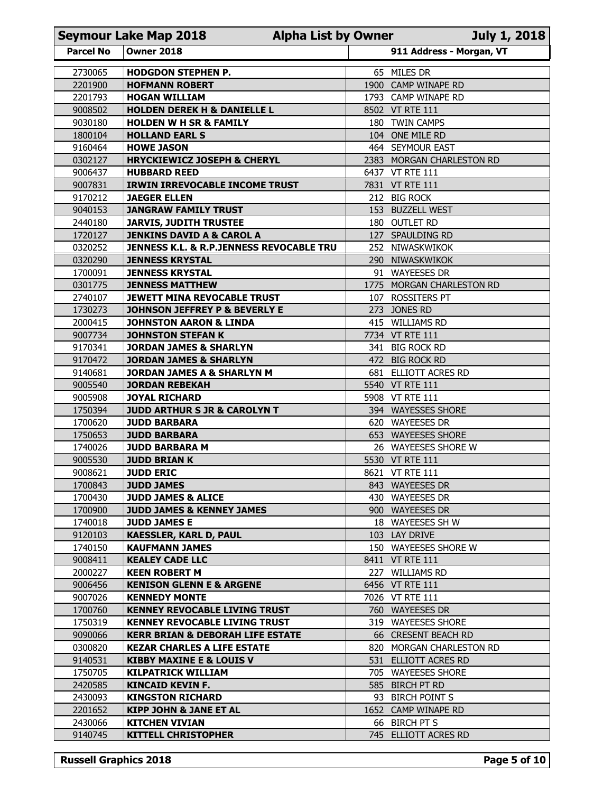| 911 Address - Morgan, VT<br><b>Parcel No</b><br><b>Owner 2018</b><br>65 MILES DR<br>2730065<br><b>HODGDON STEPHEN P.</b><br>1900 CAMP WINAPE RD<br>2201900<br><b>HOFMANN ROBERT</b><br>2201793<br><b>HOGAN WILLIAM</b><br>1793 CAMP WINAPE RD<br>9008502<br><b>HOLDEN DEREK H &amp; DANIELLE L</b><br>8502 VT RTE 111<br>9030180<br>180 TWIN CAMPS<br><b>HOLDEN W H SR &amp; FAMILY</b><br>1800104<br><b>HOLLAND EARL S</b><br>104 ONE MILE RD<br>9160464<br>464 SEYMOUR EAST<br><b>HOWE JASON</b><br>0302127<br><b>HRYCKIEWICZ JOSEPH &amp; CHERYL</b><br>2383 MORGAN CHARLESTON RD<br>9006437<br><b>HUBBARD REED</b><br>6437 VT RTE 111<br>9007831<br><b>IRWIN IRREVOCABLE INCOME TRUST</b><br>7831 VT RTE 111<br>9170212<br>212 BIG ROCK<br><b>JAEGER ELLEN</b><br>153 BUZZELL WEST<br>9040153<br><b>JANGRAW FAMILY TRUST</b><br><b>JARVIS, JUDITH TRUSTEE</b><br>180 OUTLET RD<br>2440180<br>1720127<br><b>JENKINS DAVID A &amp; CAROL A</b><br>127 SPAULDING RD<br>0320252<br>JENNESS K.L. & R.P.JENNESS REVOCABLE TRU<br>252 NIWASKWIKOK<br>0320290<br><b>JENNESS KRYSTAL</b><br>290 NIWASKWIKOK<br>1700091<br><b>JENNESS KRYSTAL</b><br>91 WAYEESES DR<br>0301775<br><b>JENNESS MATTHEW</b><br>1775 MORGAN CHARLESTON RD<br>2740107<br>107 ROSSITERS PT<br><b>JEWETT MINA REVOCABLE TRUST</b><br>1730273<br>273 JONES RD<br><b>JOHNSON JEFFREY P &amp; BEVERLY E</b><br>2000415<br>415 WILLIAMS RD<br><b>JOHNSTON AARON &amp; LINDA</b><br>9007734<br><b>JOHNSTON STEFAN K</b><br>7734 VT RTE 111<br>9170341<br>341 BIG ROCK RD<br><b>JORDAN JAMES &amp; SHARLYN</b><br>9170472<br><b>JORDAN JAMES &amp; SHARLYN</b><br>472 BIG ROCK RD<br>9140681<br><b>JORDAN JAMES A &amp; SHARLYN M</b><br>681 ELLIOTT ACRES RD<br>9005540<br>5540 VT RTE 111<br><b>JORDAN REBEKAH</b><br>9005908<br><b>JOYAL RICHARD</b><br>5908 VT RTE 111<br>1750394<br><b>JUDD ARTHUR S JR &amp; CAROLYN T</b><br>394 WAYESSES SHORE<br>1700620<br>620 WAYEESES DR<br><b>JUDD BARBARA</b><br>1750653<br><b>JUDD BARBARA</b><br>653 WAYEESES SHORE<br>1740026<br><b>JUDD BARBARA M</b><br>26 WAYEESES SHORE W<br>9005530<br><b>JUDD BRIAN K</b><br>5530 VT RTE 111<br>9008621<br><b>JUDD ERIC</b><br>8621 VT RTE 111<br>1700843<br><b>JUDD JAMES</b><br>843 WAYEESES DR<br>1700430<br>430 WAYEESES DR<br><b>JUDD JAMES &amp; ALICE</b><br>1700900<br><b>JUDD JAMES &amp; KENNEY JAMES</b><br>900 WAYEESES DR<br>1740018<br><b>JUDD JAMES E</b><br>18 WAYEESES SH W<br>9120103<br><b>KAESSLER, KARL D, PAUL</b><br>103 LAY DRIVE<br>1740150<br><b>KAUFMANN JAMES</b><br>150 WAYEESES SHORE W<br>9008411<br><b>KEALEY CADE LLC</b><br>8411 VT RTE 111<br>2000227<br>227 WILLIAMS RD<br><b>KEEN ROBERT M</b><br>9006456<br>6456 VT RTE 111<br><b>KENISON GLENN E &amp; ARGENE</b><br>9007026<br><b>KENNEDY MONTE</b><br>7026 VT RTE 111<br>1700760<br><b>KENNEY REVOCABLE LIVING TRUST</b><br>760 WAYEESES DR<br>1750319<br><b>KENNEY REVOCABLE LIVING TRUST</b><br>319 WAYEESES SHORE<br>9090066<br><b>KERR BRIAN &amp; DEBORAH LIFE ESTATE</b><br>66 CRESENT BEACH RD<br>0300820<br><b>KEZAR CHARLES A LIFE ESTATE</b><br>820 MORGAN CHARLESTON RD<br>9140531<br>531 ELLIOTT ACRES RD<br><b>KIBBY MAXINE E &amp; LOUIS V</b><br>1750705<br><b>KILPATRICK WILLIAM</b><br>705 WAYEESES SHORE<br>2420585<br>KINCAID KEVIN F.<br>585 BIRCH PT RD<br>2430093<br><b>KINGSTON RICHARD</b><br>93 BIRCH POINT S<br>2201652<br><b>KIPP JOHN &amp; JANE ET AL</b><br>1652 CAMP WINAPE RD<br>2430066<br>66 BIRCH PT S<br><b>KITCHEN VIVIAN</b><br>9140745<br><b>KITTELL CHRISTOPHER</b><br>745 ELLIOTT ACRES RD | <b>Seymour Lake Map 2018</b><br><b>Alpha List by Owner</b> | <b>July 1, 2018</b> |
|----------------------------------------------------------------------------------------------------------------------------------------------------------------------------------------------------------------------------------------------------------------------------------------------------------------------------------------------------------------------------------------------------------------------------------------------------------------------------------------------------------------------------------------------------------------------------------------------------------------------------------------------------------------------------------------------------------------------------------------------------------------------------------------------------------------------------------------------------------------------------------------------------------------------------------------------------------------------------------------------------------------------------------------------------------------------------------------------------------------------------------------------------------------------------------------------------------------------------------------------------------------------------------------------------------------------------------------------------------------------------------------------------------------------------------------------------------------------------------------------------------------------------------------------------------------------------------------------------------------------------------------------------------------------------------------------------------------------------------------------------------------------------------------------------------------------------------------------------------------------------------------------------------------------------------------------------------------------------------------------------------------------------------------------------------------------------------------------------------------------------------------------------------------------------------------------------------------------------------------------------------------------------------------------------------------------------------------------------------------------------------------------------------------------------------------------------------------------------------------------------------------------------------------------------------------------------------------------------------------------------------------------------------------------------------------------------------------------------------------------------------------------------------------------------------------------------------------------------------------------------------------------------------------------------------------------------------------------------------------------------------------------------------------------------------------------------------------------------------------------------------------------------------------------------------------------------------------------------------------------------------------------------------------------------------------------------------------------------------------------------------------------------------------------------------------------------------------------------------------------------------------------------------------------------------------------------------|------------------------------------------------------------|---------------------|
|                                                                                                                                                                                                                                                                                                                                                                                                                                                                                                                                                                                                                                                                                                                                                                                                                                                                                                                                                                                                                                                                                                                                                                                                                                                                                                                                                                                                                                                                                                                                                                                                                                                                                                                                                                                                                                                                                                                                                                                                                                                                                                                                                                                                                                                                                                                                                                                                                                                                                                                                                                                                                                                                                                                                                                                                                                                                                                                                                                                                                                                                                                                                                                                                                                                                                                                                                                                                                                                                                                                                                                                  |                                                            |                     |
|                                                                                                                                                                                                                                                                                                                                                                                                                                                                                                                                                                                                                                                                                                                                                                                                                                                                                                                                                                                                                                                                                                                                                                                                                                                                                                                                                                                                                                                                                                                                                                                                                                                                                                                                                                                                                                                                                                                                                                                                                                                                                                                                                                                                                                                                                                                                                                                                                                                                                                                                                                                                                                                                                                                                                                                                                                                                                                                                                                                                                                                                                                                                                                                                                                                                                                                                                                                                                                                                                                                                                                                  |                                                            |                     |
|                                                                                                                                                                                                                                                                                                                                                                                                                                                                                                                                                                                                                                                                                                                                                                                                                                                                                                                                                                                                                                                                                                                                                                                                                                                                                                                                                                                                                                                                                                                                                                                                                                                                                                                                                                                                                                                                                                                                                                                                                                                                                                                                                                                                                                                                                                                                                                                                                                                                                                                                                                                                                                                                                                                                                                                                                                                                                                                                                                                                                                                                                                                                                                                                                                                                                                                                                                                                                                                                                                                                                                                  |                                                            |                     |
|                                                                                                                                                                                                                                                                                                                                                                                                                                                                                                                                                                                                                                                                                                                                                                                                                                                                                                                                                                                                                                                                                                                                                                                                                                                                                                                                                                                                                                                                                                                                                                                                                                                                                                                                                                                                                                                                                                                                                                                                                                                                                                                                                                                                                                                                                                                                                                                                                                                                                                                                                                                                                                                                                                                                                                                                                                                                                                                                                                                                                                                                                                                                                                                                                                                                                                                                                                                                                                                                                                                                                                                  |                                                            |                     |
|                                                                                                                                                                                                                                                                                                                                                                                                                                                                                                                                                                                                                                                                                                                                                                                                                                                                                                                                                                                                                                                                                                                                                                                                                                                                                                                                                                                                                                                                                                                                                                                                                                                                                                                                                                                                                                                                                                                                                                                                                                                                                                                                                                                                                                                                                                                                                                                                                                                                                                                                                                                                                                                                                                                                                                                                                                                                                                                                                                                                                                                                                                                                                                                                                                                                                                                                                                                                                                                                                                                                                                                  |                                                            |                     |
|                                                                                                                                                                                                                                                                                                                                                                                                                                                                                                                                                                                                                                                                                                                                                                                                                                                                                                                                                                                                                                                                                                                                                                                                                                                                                                                                                                                                                                                                                                                                                                                                                                                                                                                                                                                                                                                                                                                                                                                                                                                                                                                                                                                                                                                                                                                                                                                                                                                                                                                                                                                                                                                                                                                                                                                                                                                                                                                                                                                                                                                                                                                                                                                                                                                                                                                                                                                                                                                                                                                                                                                  |                                                            |                     |
|                                                                                                                                                                                                                                                                                                                                                                                                                                                                                                                                                                                                                                                                                                                                                                                                                                                                                                                                                                                                                                                                                                                                                                                                                                                                                                                                                                                                                                                                                                                                                                                                                                                                                                                                                                                                                                                                                                                                                                                                                                                                                                                                                                                                                                                                                                                                                                                                                                                                                                                                                                                                                                                                                                                                                                                                                                                                                                                                                                                                                                                                                                                                                                                                                                                                                                                                                                                                                                                                                                                                                                                  |                                                            |                     |
|                                                                                                                                                                                                                                                                                                                                                                                                                                                                                                                                                                                                                                                                                                                                                                                                                                                                                                                                                                                                                                                                                                                                                                                                                                                                                                                                                                                                                                                                                                                                                                                                                                                                                                                                                                                                                                                                                                                                                                                                                                                                                                                                                                                                                                                                                                                                                                                                                                                                                                                                                                                                                                                                                                                                                                                                                                                                                                                                                                                                                                                                                                                                                                                                                                                                                                                                                                                                                                                                                                                                                                                  |                                                            |                     |
|                                                                                                                                                                                                                                                                                                                                                                                                                                                                                                                                                                                                                                                                                                                                                                                                                                                                                                                                                                                                                                                                                                                                                                                                                                                                                                                                                                                                                                                                                                                                                                                                                                                                                                                                                                                                                                                                                                                                                                                                                                                                                                                                                                                                                                                                                                                                                                                                                                                                                                                                                                                                                                                                                                                                                                                                                                                                                                                                                                                                                                                                                                                                                                                                                                                                                                                                                                                                                                                                                                                                                                                  |                                                            |                     |
|                                                                                                                                                                                                                                                                                                                                                                                                                                                                                                                                                                                                                                                                                                                                                                                                                                                                                                                                                                                                                                                                                                                                                                                                                                                                                                                                                                                                                                                                                                                                                                                                                                                                                                                                                                                                                                                                                                                                                                                                                                                                                                                                                                                                                                                                                                                                                                                                                                                                                                                                                                                                                                                                                                                                                                                                                                                                                                                                                                                                                                                                                                                                                                                                                                                                                                                                                                                                                                                                                                                                                                                  |                                                            |                     |
|                                                                                                                                                                                                                                                                                                                                                                                                                                                                                                                                                                                                                                                                                                                                                                                                                                                                                                                                                                                                                                                                                                                                                                                                                                                                                                                                                                                                                                                                                                                                                                                                                                                                                                                                                                                                                                                                                                                                                                                                                                                                                                                                                                                                                                                                                                                                                                                                                                                                                                                                                                                                                                                                                                                                                                                                                                                                                                                                                                                                                                                                                                                                                                                                                                                                                                                                                                                                                                                                                                                                                                                  |                                                            |                     |
|                                                                                                                                                                                                                                                                                                                                                                                                                                                                                                                                                                                                                                                                                                                                                                                                                                                                                                                                                                                                                                                                                                                                                                                                                                                                                                                                                                                                                                                                                                                                                                                                                                                                                                                                                                                                                                                                                                                                                                                                                                                                                                                                                                                                                                                                                                                                                                                                                                                                                                                                                                                                                                                                                                                                                                                                                                                                                                                                                                                                                                                                                                                                                                                                                                                                                                                                                                                                                                                                                                                                                                                  |                                                            |                     |
|                                                                                                                                                                                                                                                                                                                                                                                                                                                                                                                                                                                                                                                                                                                                                                                                                                                                                                                                                                                                                                                                                                                                                                                                                                                                                                                                                                                                                                                                                                                                                                                                                                                                                                                                                                                                                                                                                                                                                                                                                                                                                                                                                                                                                                                                                                                                                                                                                                                                                                                                                                                                                                                                                                                                                                                                                                                                                                                                                                                                                                                                                                                                                                                                                                                                                                                                                                                                                                                                                                                                                                                  |                                                            |                     |
|                                                                                                                                                                                                                                                                                                                                                                                                                                                                                                                                                                                                                                                                                                                                                                                                                                                                                                                                                                                                                                                                                                                                                                                                                                                                                                                                                                                                                                                                                                                                                                                                                                                                                                                                                                                                                                                                                                                                                                                                                                                                                                                                                                                                                                                                                                                                                                                                                                                                                                                                                                                                                                                                                                                                                                                                                                                                                                                                                                                                                                                                                                                                                                                                                                                                                                                                                                                                                                                                                                                                                                                  |                                                            |                     |
|                                                                                                                                                                                                                                                                                                                                                                                                                                                                                                                                                                                                                                                                                                                                                                                                                                                                                                                                                                                                                                                                                                                                                                                                                                                                                                                                                                                                                                                                                                                                                                                                                                                                                                                                                                                                                                                                                                                                                                                                                                                                                                                                                                                                                                                                                                                                                                                                                                                                                                                                                                                                                                                                                                                                                                                                                                                                                                                                                                                                                                                                                                                                                                                                                                                                                                                                                                                                                                                                                                                                                                                  |                                                            |                     |
|                                                                                                                                                                                                                                                                                                                                                                                                                                                                                                                                                                                                                                                                                                                                                                                                                                                                                                                                                                                                                                                                                                                                                                                                                                                                                                                                                                                                                                                                                                                                                                                                                                                                                                                                                                                                                                                                                                                                                                                                                                                                                                                                                                                                                                                                                                                                                                                                                                                                                                                                                                                                                                                                                                                                                                                                                                                                                                                                                                                                                                                                                                                                                                                                                                                                                                                                                                                                                                                                                                                                                                                  |                                                            |                     |
|                                                                                                                                                                                                                                                                                                                                                                                                                                                                                                                                                                                                                                                                                                                                                                                                                                                                                                                                                                                                                                                                                                                                                                                                                                                                                                                                                                                                                                                                                                                                                                                                                                                                                                                                                                                                                                                                                                                                                                                                                                                                                                                                                                                                                                                                                                                                                                                                                                                                                                                                                                                                                                                                                                                                                                                                                                                                                                                                                                                                                                                                                                                                                                                                                                                                                                                                                                                                                                                                                                                                                                                  |                                                            |                     |
|                                                                                                                                                                                                                                                                                                                                                                                                                                                                                                                                                                                                                                                                                                                                                                                                                                                                                                                                                                                                                                                                                                                                                                                                                                                                                                                                                                                                                                                                                                                                                                                                                                                                                                                                                                                                                                                                                                                                                                                                                                                                                                                                                                                                                                                                                                                                                                                                                                                                                                                                                                                                                                                                                                                                                                                                                                                                                                                                                                                                                                                                                                                                                                                                                                                                                                                                                                                                                                                                                                                                                                                  |                                                            |                     |
|                                                                                                                                                                                                                                                                                                                                                                                                                                                                                                                                                                                                                                                                                                                                                                                                                                                                                                                                                                                                                                                                                                                                                                                                                                                                                                                                                                                                                                                                                                                                                                                                                                                                                                                                                                                                                                                                                                                                                                                                                                                                                                                                                                                                                                                                                                                                                                                                                                                                                                                                                                                                                                                                                                                                                                                                                                                                                                                                                                                                                                                                                                                                                                                                                                                                                                                                                                                                                                                                                                                                                                                  |                                                            |                     |
|                                                                                                                                                                                                                                                                                                                                                                                                                                                                                                                                                                                                                                                                                                                                                                                                                                                                                                                                                                                                                                                                                                                                                                                                                                                                                                                                                                                                                                                                                                                                                                                                                                                                                                                                                                                                                                                                                                                                                                                                                                                                                                                                                                                                                                                                                                                                                                                                                                                                                                                                                                                                                                                                                                                                                                                                                                                                                                                                                                                                                                                                                                                                                                                                                                                                                                                                                                                                                                                                                                                                                                                  |                                                            |                     |
|                                                                                                                                                                                                                                                                                                                                                                                                                                                                                                                                                                                                                                                                                                                                                                                                                                                                                                                                                                                                                                                                                                                                                                                                                                                                                                                                                                                                                                                                                                                                                                                                                                                                                                                                                                                                                                                                                                                                                                                                                                                                                                                                                                                                                                                                                                                                                                                                                                                                                                                                                                                                                                                                                                                                                                                                                                                                                                                                                                                                                                                                                                                                                                                                                                                                                                                                                                                                                                                                                                                                                                                  |                                                            |                     |
|                                                                                                                                                                                                                                                                                                                                                                                                                                                                                                                                                                                                                                                                                                                                                                                                                                                                                                                                                                                                                                                                                                                                                                                                                                                                                                                                                                                                                                                                                                                                                                                                                                                                                                                                                                                                                                                                                                                                                                                                                                                                                                                                                                                                                                                                                                                                                                                                                                                                                                                                                                                                                                                                                                                                                                                                                                                                                                                                                                                                                                                                                                                                                                                                                                                                                                                                                                                                                                                                                                                                                                                  |                                                            |                     |
|                                                                                                                                                                                                                                                                                                                                                                                                                                                                                                                                                                                                                                                                                                                                                                                                                                                                                                                                                                                                                                                                                                                                                                                                                                                                                                                                                                                                                                                                                                                                                                                                                                                                                                                                                                                                                                                                                                                                                                                                                                                                                                                                                                                                                                                                                                                                                                                                                                                                                                                                                                                                                                                                                                                                                                                                                                                                                                                                                                                                                                                                                                                                                                                                                                                                                                                                                                                                                                                                                                                                                                                  |                                                            |                     |
|                                                                                                                                                                                                                                                                                                                                                                                                                                                                                                                                                                                                                                                                                                                                                                                                                                                                                                                                                                                                                                                                                                                                                                                                                                                                                                                                                                                                                                                                                                                                                                                                                                                                                                                                                                                                                                                                                                                                                                                                                                                                                                                                                                                                                                                                                                                                                                                                                                                                                                                                                                                                                                                                                                                                                                                                                                                                                                                                                                                                                                                                                                                                                                                                                                                                                                                                                                                                                                                                                                                                                                                  |                                                            |                     |
|                                                                                                                                                                                                                                                                                                                                                                                                                                                                                                                                                                                                                                                                                                                                                                                                                                                                                                                                                                                                                                                                                                                                                                                                                                                                                                                                                                                                                                                                                                                                                                                                                                                                                                                                                                                                                                                                                                                                                                                                                                                                                                                                                                                                                                                                                                                                                                                                                                                                                                                                                                                                                                                                                                                                                                                                                                                                                                                                                                                                                                                                                                                                                                                                                                                                                                                                                                                                                                                                                                                                                                                  |                                                            |                     |
|                                                                                                                                                                                                                                                                                                                                                                                                                                                                                                                                                                                                                                                                                                                                                                                                                                                                                                                                                                                                                                                                                                                                                                                                                                                                                                                                                                                                                                                                                                                                                                                                                                                                                                                                                                                                                                                                                                                                                                                                                                                                                                                                                                                                                                                                                                                                                                                                                                                                                                                                                                                                                                                                                                                                                                                                                                                                                                                                                                                                                                                                                                                                                                                                                                                                                                                                                                                                                                                                                                                                                                                  |                                                            |                     |
|                                                                                                                                                                                                                                                                                                                                                                                                                                                                                                                                                                                                                                                                                                                                                                                                                                                                                                                                                                                                                                                                                                                                                                                                                                                                                                                                                                                                                                                                                                                                                                                                                                                                                                                                                                                                                                                                                                                                                                                                                                                                                                                                                                                                                                                                                                                                                                                                                                                                                                                                                                                                                                                                                                                                                                                                                                                                                                                                                                                                                                                                                                                                                                                                                                                                                                                                                                                                                                                                                                                                                                                  |                                                            |                     |
|                                                                                                                                                                                                                                                                                                                                                                                                                                                                                                                                                                                                                                                                                                                                                                                                                                                                                                                                                                                                                                                                                                                                                                                                                                                                                                                                                                                                                                                                                                                                                                                                                                                                                                                                                                                                                                                                                                                                                                                                                                                                                                                                                                                                                                                                                                                                                                                                                                                                                                                                                                                                                                                                                                                                                                                                                                                                                                                                                                                                                                                                                                                                                                                                                                                                                                                                                                                                                                                                                                                                                                                  |                                                            |                     |
|                                                                                                                                                                                                                                                                                                                                                                                                                                                                                                                                                                                                                                                                                                                                                                                                                                                                                                                                                                                                                                                                                                                                                                                                                                                                                                                                                                                                                                                                                                                                                                                                                                                                                                                                                                                                                                                                                                                                                                                                                                                                                                                                                                                                                                                                                                                                                                                                                                                                                                                                                                                                                                                                                                                                                                                                                                                                                                                                                                                                                                                                                                                                                                                                                                                                                                                                                                                                                                                                                                                                                                                  |                                                            |                     |
|                                                                                                                                                                                                                                                                                                                                                                                                                                                                                                                                                                                                                                                                                                                                                                                                                                                                                                                                                                                                                                                                                                                                                                                                                                                                                                                                                                                                                                                                                                                                                                                                                                                                                                                                                                                                                                                                                                                                                                                                                                                                                                                                                                                                                                                                                                                                                                                                                                                                                                                                                                                                                                                                                                                                                                                                                                                                                                                                                                                                                                                                                                                                                                                                                                                                                                                                                                                                                                                                                                                                                                                  |                                                            |                     |
|                                                                                                                                                                                                                                                                                                                                                                                                                                                                                                                                                                                                                                                                                                                                                                                                                                                                                                                                                                                                                                                                                                                                                                                                                                                                                                                                                                                                                                                                                                                                                                                                                                                                                                                                                                                                                                                                                                                                                                                                                                                                                                                                                                                                                                                                                                                                                                                                                                                                                                                                                                                                                                                                                                                                                                                                                                                                                                                                                                                                                                                                                                                                                                                                                                                                                                                                                                                                                                                                                                                                                                                  |                                                            |                     |
|                                                                                                                                                                                                                                                                                                                                                                                                                                                                                                                                                                                                                                                                                                                                                                                                                                                                                                                                                                                                                                                                                                                                                                                                                                                                                                                                                                                                                                                                                                                                                                                                                                                                                                                                                                                                                                                                                                                                                                                                                                                                                                                                                                                                                                                                                                                                                                                                                                                                                                                                                                                                                                                                                                                                                                                                                                                                                                                                                                                                                                                                                                                                                                                                                                                                                                                                                                                                                                                                                                                                                                                  |                                                            |                     |
|                                                                                                                                                                                                                                                                                                                                                                                                                                                                                                                                                                                                                                                                                                                                                                                                                                                                                                                                                                                                                                                                                                                                                                                                                                                                                                                                                                                                                                                                                                                                                                                                                                                                                                                                                                                                                                                                                                                                                                                                                                                                                                                                                                                                                                                                                                                                                                                                                                                                                                                                                                                                                                                                                                                                                                                                                                                                                                                                                                                                                                                                                                                                                                                                                                                                                                                                                                                                                                                                                                                                                                                  |                                                            |                     |
|                                                                                                                                                                                                                                                                                                                                                                                                                                                                                                                                                                                                                                                                                                                                                                                                                                                                                                                                                                                                                                                                                                                                                                                                                                                                                                                                                                                                                                                                                                                                                                                                                                                                                                                                                                                                                                                                                                                                                                                                                                                                                                                                                                                                                                                                                                                                                                                                                                                                                                                                                                                                                                                                                                                                                                                                                                                                                                                                                                                                                                                                                                                                                                                                                                                                                                                                                                                                                                                                                                                                                                                  |                                                            |                     |
|                                                                                                                                                                                                                                                                                                                                                                                                                                                                                                                                                                                                                                                                                                                                                                                                                                                                                                                                                                                                                                                                                                                                                                                                                                                                                                                                                                                                                                                                                                                                                                                                                                                                                                                                                                                                                                                                                                                                                                                                                                                                                                                                                                                                                                                                                                                                                                                                                                                                                                                                                                                                                                                                                                                                                                                                                                                                                                                                                                                                                                                                                                                                                                                                                                                                                                                                                                                                                                                                                                                                                                                  |                                                            |                     |
|                                                                                                                                                                                                                                                                                                                                                                                                                                                                                                                                                                                                                                                                                                                                                                                                                                                                                                                                                                                                                                                                                                                                                                                                                                                                                                                                                                                                                                                                                                                                                                                                                                                                                                                                                                                                                                                                                                                                                                                                                                                                                                                                                                                                                                                                                                                                                                                                                                                                                                                                                                                                                                                                                                                                                                                                                                                                                                                                                                                                                                                                                                                                                                                                                                                                                                                                                                                                                                                                                                                                                                                  |                                                            |                     |
|                                                                                                                                                                                                                                                                                                                                                                                                                                                                                                                                                                                                                                                                                                                                                                                                                                                                                                                                                                                                                                                                                                                                                                                                                                                                                                                                                                                                                                                                                                                                                                                                                                                                                                                                                                                                                                                                                                                                                                                                                                                                                                                                                                                                                                                                                                                                                                                                                                                                                                                                                                                                                                                                                                                                                                                                                                                                                                                                                                                                                                                                                                                                                                                                                                                                                                                                                                                                                                                                                                                                                                                  |                                                            |                     |
|                                                                                                                                                                                                                                                                                                                                                                                                                                                                                                                                                                                                                                                                                                                                                                                                                                                                                                                                                                                                                                                                                                                                                                                                                                                                                                                                                                                                                                                                                                                                                                                                                                                                                                                                                                                                                                                                                                                                                                                                                                                                                                                                                                                                                                                                                                                                                                                                                                                                                                                                                                                                                                                                                                                                                                                                                                                                                                                                                                                                                                                                                                                                                                                                                                                                                                                                                                                                                                                                                                                                                                                  |                                                            |                     |
|                                                                                                                                                                                                                                                                                                                                                                                                                                                                                                                                                                                                                                                                                                                                                                                                                                                                                                                                                                                                                                                                                                                                                                                                                                                                                                                                                                                                                                                                                                                                                                                                                                                                                                                                                                                                                                                                                                                                                                                                                                                                                                                                                                                                                                                                                                                                                                                                                                                                                                                                                                                                                                                                                                                                                                                                                                                                                                                                                                                                                                                                                                                                                                                                                                                                                                                                                                                                                                                                                                                                                                                  |                                                            |                     |
|                                                                                                                                                                                                                                                                                                                                                                                                                                                                                                                                                                                                                                                                                                                                                                                                                                                                                                                                                                                                                                                                                                                                                                                                                                                                                                                                                                                                                                                                                                                                                                                                                                                                                                                                                                                                                                                                                                                                                                                                                                                                                                                                                                                                                                                                                                                                                                                                                                                                                                                                                                                                                                                                                                                                                                                                                                                                                                                                                                                                                                                                                                                                                                                                                                                                                                                                                                                                                                                                                                                                                                                  |                                                            |                     |
|                                                                                                                                                                                                                                                                                                                                                                                                                                                                                                                                                                                                                                                                                                                                                                                                                                                                                                                                                                                                                                                                                                                                                                                                                                                                                                                                                                                                                                                                                                                                                                                                                                                                                                                                                                                                                                                                                                                                                                                                                                                                                                                                                                                                                                                                                                                                                                                                                                                                                                                                                                                                                                                                                                                                                                                                                                                                                                                                                                                                                                                                                                                                                                                                                                                                                                                                                                                                                                                                                                                                                                                  |                                                            |                     |
|                                                                                                                                                                                                                                                                                                                                                                                                                                                                                                                                                                                                                                                                                                                                                                                                                                                                                                                                                                                                                                                                                                                                                                                                                                                                                                                                                                                                                                                                                                                                                                                                                                                                                                                                                                                                                                                                                                                                                                                                                                                                                                                                                                                                                                                                                                                                                                                                                                                                                                                                                                                                                                                                                                                                                                                                                                                                                                                                                                                                                                                                                                                                                                                                                                                                                                                                                                                                                                                                                                                                                                                  |                                                            |                     |
|                                                                                                                                                                                                                                                                                                                                                                                                                                                                                                                                                                                                                                                                                                                                                                                                                                                                                                                                                                                                                                                                                                                                                                                                                                                                                                                                                                                                                                                                                                                                                                                                                                                                                                                                                                                                                                                                                                                                                                                                                                                                                                                                                                                                                                                                                                                                                                                                                                                                                                                                                                                                                                                                                                                                                                                                                                                                                                                                                                                                                                                                                                                                                                                                                                                                                                                                                                                                                                                                                                                                                                                  |                                                            |                     |
|                                                                                                                                                                                                                                                                                                                                                                                                                                                                                                                                                                                                                                                                                                                                                                                                                                                                                                                                                                                                                                                                                                                                                                                                                                                                                                                                                                                                                                                                                                                                                                                                                                                                                                                                                                                                                                                                                                                                                                                                                                                                                                                                                                                                                                                                                                                                                                                                                                                                                                                                                                                                                                                                                                                                                                                                                                                                                                                                                                                                                                                                                                                                                                                                                                                                                                                                                                                                                                                                                                                                                                                  |                                                            |                     |
|                                                                                                                                                                                                                                                                                                                                                                                                                                                                                                                                                                                                                                                                                                                                                                                                                                                                                                                                                                                                                                                                                                                                                                                                                                                                                                                                                                                                                                                                                                                                                                                                                                                                                                                                                                                                                                                                                                                                                                                                                                                                                                                                                                                                                                                                                                                                                                                                                                                                                                                                                                                                                                                                                                                                                                                                                                                                                                                                                                                                                                                                                                                                                                                                                                                                                                                                                                                                                                                                                                                                                                                  |                                                            |                     |
|                                                                                                                                                                                                                                                                                                                                                                                                                                                                                                                                                                                                                                                                                                                                                                                                                                                                                                                                                                                                                                                                                                                                                                                                                                                                                                                                                                                                                                                                                                                                                                                                                                                                                                                                                                                                                                                                                                                                                                                                                                                                                                                                                                                                                                                                                                                                                                                                                                                                                                                                                                                                                                                                                                                                                                                                                                                                                                                                                                                                                                                                                                                                                                                                                                                                                                                                                                                                                                                                                                                                                                                  |                                                            |                     |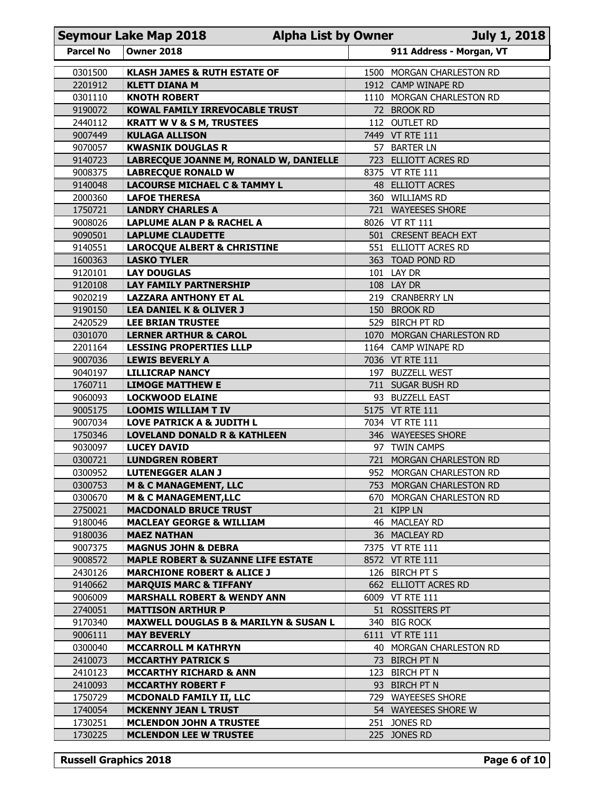|                    | <b>Seymour Lake Map 2018</b><br><b>Alpha List by Owner</b><br>July 1, 2018      |                                                      |                          |  |  |  |
|--------------------|---------------------------------------------------------------------------------|------------------------------------------------------|--------------------------|--|--|--|
| <b>Parcel No</b>   | <b>Owner 2018</b>                                                               |                                                      | 911 Address - Morgan, VT |  |  |  |
| 0301500            | <b>KLASH JAMES &amp; RUTH ESTATE OF</b>                                         | 1500 MORGAN CHARLESTON RD                            |                          |  |  |  |
| 2201912            | <b>KLETT DIANA M</b>                                                            | 1912 CAMP WINAPE RD                                  |                          |  |  |  |
| 0301110<br>9190072 | <b>KNOTH ROBERT</b><br>KOWAL FAMILY IRREVOCABLE TRUST                           | 1110 MORGAN CHARLESTON RD<br>72 BROOK RD             |                          |  |  |  |
| 2440112            | <b>KRATT W V &amp; S M, TRUSTEES</b>                                            | 112 OUTLET RD                                        |                          |  |  |  |
| 9007449            | <b>KULAGA ALLISON</b>                                                           | 7449 VT RTE 111                                      |                          |  |  |  |
| 9070057            | <b>KWASNIK DOUGLAS R</b>                                                        | 57 BARTER LN                                         |                          |  |  |  |
| 9140723<br>9008375 | LABRECQUE JOANNE M, RONALD W, DANIELLE<br><b>LABRECQUE RONALD W</b>             | 723 ELLIOTT ACRES RD<br>8375 VT RTE 111              |                          |  |  |  |
| 9140048            | <b>LACOURSE MICHAEL C &amp; TAMMY L</b>                                         | 48 ELLIOTT ACRES                                     |                          |  |  |  |
| 2000360            | <b>LAFOE THERESA</b>                                                            | 360 WILLIAMS RD                                      |                          |  |  |  |
| 1750721            | <b>LANDRY CHARLES A</b>                                                         | 721 WAYEESES SHORE                                   |                          |  |  |  |
| 9008026<br>9090501 | <b>LAPLUME ALAN P &amp; RACHEL A</b><br><b>LAPLUME CLAUDETTE</b>                | 8026 VT RT 111<br>501 CRESENT BEACH EXT              |                          |  |  |  |
| 9140551            | <b>LAROCQUE ALBERT &amp; CHRISTINE</b>                                          | 551 ELLIOTT ACRES RD                                 |                          |  |  |  |
| 1600363            | <b>LASKO TYLER</b>                                                              | 363 TOAD POND RD                                     |                          |  |  |  |
| 9120101            | <b>LAY DOUGLAS</b>                                                              | 101 LAY DR                                           |                          |  |  |  |
| 9120108<br>9020219 | <b>LAY FAMILY PARTNERSHIP</b><br><b>LAZZARA ANTHONY ET AL</b>                   | 108 LAY DR<br>219 CRANBERRY LN                       |                          |  |  |  |
| 9190150            | <b>LEA DANIEL K &amp; OLIVER J</b>                                              | 150 BROOK RD                                         |                          |  |  |  |
| 2420529            | <b>LEE BRIAN TRUSTEE</b>                                                        | 529 BIRCH PT RD                                      |                          |  |  |  |
| 0301070            | <b>LERNER ARTHUR &amp; CAROL</b>                                                | 1070 MORGAN CHARLESTON RD                            |                          |  |  |  |
| 2201164<br>9007036 | <b>LESSING PROPERTIES LLLP</b><br><b>LEWIS BEVERLY A</b>                        | 1164 CAMP WINAPE RD<br>7036 VT RTE 111               |                          |  |  |  |
| 9040197            | <b>LILLICRAP NANCY</b>                                                          | 197 BUZZELL WEST                                     |                          |  |  |  |
| 1760711            | <b>LIMOGE MATTHEW E</b>                                                         | 711 SUGAR BUSH RD                                    |                          |  |  |  |
| 9060093            | <b>LOCKWOOD ELAINE</b>                                                          | 93 BUZZELL EAST                                      |                          |  |  |  |
| 9005175<br>9007034 | <b>LOOMIS WILLIAM T IV</b><br><b>LOVE PATRICK A &amp; JUDITH L</b>              | 5175 VT RTE 111<br>7034 VT RTE 111                   |                          |  |  |  |
| 1750346            | <b>LOVELAND DONALD R &amp; KATHLEEN</b>                                         | 346 WAYEESES SHORE                                   |                          |  |  |  |
| 9030097            | <b>LUCEY DAVID</b>                                                              | 97 TWIN CAMPS                                        |                          |  |  |  |
| 0300721            | <b>LUNDGREN ROBERT</b>                                                          | 721 MORGAN CHARLESTON RD                             |                          |  |  |  |
| 0300952<br>0300753 | <b>LUTENEGGER ALAN J</b>                                                        | 952 MORGAN CHARLESTON RD                             |                          |  |  |  |
| 0300670            | <b>M &amp; C MANAGEMENT, LLC</b><br><b>M &amp; C MANAGEMENT, LLC</b>            | 753 MORGAN CHARLESTON RD<br>670 MORGAN CHARLESTON RD |                          |  |  |  |
| 2750021            | <b>MACDONALD BRUCE TRUST</b>                                                    | 21 KIPP LN                                           |                          |  |  |  |
| 9180046            | <b>MACLEAY GEORGE &amp; WILLIAM</b>                                             | 46 MACLEAY RD                                        |                          |  |  |  |
| 9180036            | <b>MAEZ NATHAN</b>                                                              | 36 MACLEAY RD                                        |                          |  |  |  |
| 9007375<br>9008572 | <b>MAGNUS JOHN &amp; DEBRA</b><br><b>MAPLE ROBERT &amp; SUZANNE LIFE ESTATE</b> | 7375 VT RTE 111<br>8572 VT RTE 111                   |                          |  |  |  |
| 2430126            | <b>MARCHIONE ROBERT &amp; ALICE J</b>                                           | 126 BIRCH PT S                                       |                          |  |  |  |
| 9140662            | <b>MARQUIS MARC &amp; TIFFANY</b>                                               | 662 ELLIOTT ACRES RD                                 |                          |  |  |  |
| 9006009            | <b>MARSHALL ROBERT &amp; WENDY ANN</b>                                          | 6009 VT RTE 111                                      |                          |  |  |  |
| 2740051            | <b>MATTISON ARTHUR P</b>                                                        | 51 ROSSITERS PT                                      |                          |  |  |  |
| 9170340<br>9006111 | <b>MAXWELL DOUGLAS B &amp; MARILYN &amp; SUSAN L</b><br><b>MAY BEVERLY</b>      | 340 BIG ROCK<br>6111 VT RTE 111                      |                          |  |  |  |
| 0300040            | <b>MCCARROLL M KATHRYN</b>                                                      | 40 MORGAN CHARLESTON RD                              |                          |  |  |  |
| 2410073            | <b>MCCARTHY PATRICK S</b>                                                       | 73 BIRCH PT N                                        |                          |  |  |  |
| 2410123            | <b>MCCARTHY RICHARD &amp; ANN</b>                                               | 123 BIRCH PT N                                       |                          |  |  |  |
| 2410093            | <b>MCCARTHY ROBERT F</b>                                                        | 93 BIRCH PT N                                        |                          |  |  |  |
| 1750729<br>1740054 | MCDONALD FAMILY II, LLC<br><b>MCKENNY JEAN L TRUST</b>                          | 729 WAYEESES SHORE<br>54 WAYEESES SHORE W            |                          |  |  |  |
| 1730251            | <b>MCLENDON JOHN A TRUSTEE</b>                                                  | 251 JONES RD                                         |                          |  |  |  |
|                    | <b>MCLENDON LEE W TRUSTEE</b>                                                   | 225 JONES RD                                         |                          |  |  |  |
| 1730225            |                                                                                 |                                                      |                          |  |  |  |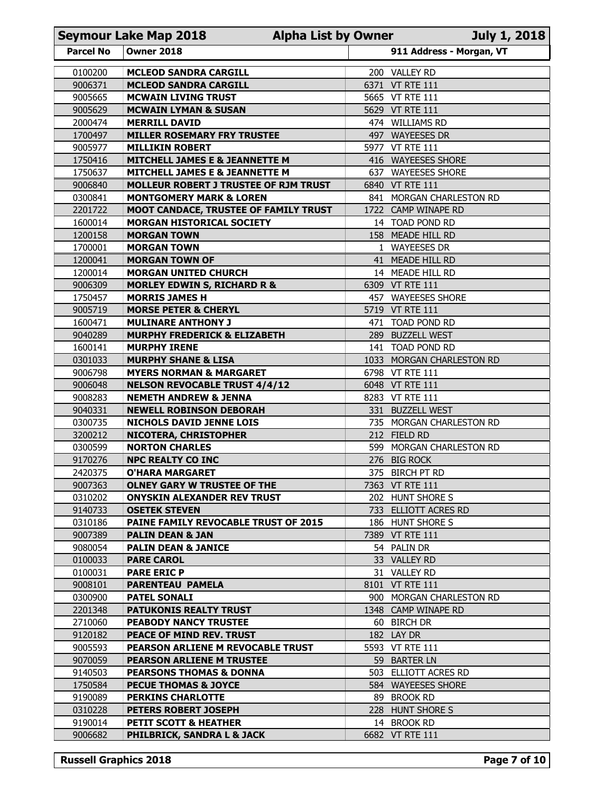|                    | <b>Seymour Lake Map 2018</b><br><b>Alpha List by Owner</b>                         |     |                                             | <b>July 1, 2018</b> |
|--------------------|------------------------------------------------------------------------------------|-----|---------------------------------------------|---------------------|
| <b>Parcel No</b>   | <b>Owner 2018</b>                                                                  |     | 911 Address - Morgan, VT                    |                     |
| 0100200            | <b>MCLEOD SANDRA CARGILL</b>                                                       |     | 200 VALLEY RD                               |                     |
| 9006371            | <b>MCLEOD SANDRA CARGILL</b>                                                       |     | 6371 VT RTE 111                             |                     |
| 9005665            | <b>MCWAIN LIVING TRUST</b>                                                         |     | 5665 VT RTE 111                             |                     |
| 9005629<br>2000474 | <b>MCWAIN LYMAN &amp; SUSAN</b><br><b>MERRILL DAVID</b>                            |     | 5629 VT RTE 111<br>474 WILLIAMS RD          |                     |
| 1700497            | <b>MILLER ROSEMARY FRY TRUSTEE</b>                                                 |     | 497 WAYEESES DR                             |                     |
| 9005977            | <b>MILLIKIN ROBERT</b>                                                             |     | 5977 VT RTE 111                             |                     |
| 1750416            | <b>MITCHELL JAMES E &amp; JEANNETTE M</b>                                          | 416 | <b>WAYEESES SHORE</b>                       |                     |
| 1750637            | <b>MITCHELL JAMES E &amp; JEANNETTE M</b>                                          | 637 | <b>WAYEESES SHORE</b>                       |                     |
| 9006840<br>0300841 | <b>MOLLEUR ROBERT J TRUSTEE OF RJM TRUST</b><br><b>MONTGOMERY MARK &amp; LOREN</b> |     | 6840 VT RTE 111<br>841 MORGAN CHARLESTON RD |                     |
| 2201722            | MOOT CANDACE, TRUSTEE OF FAMILY TRUST                                              |     | 1722 CAMP WINAPE RD                         |                     |
| 1600014            | <b>MORGAN HISTORICAL SOCIETY</b>                                                   |     | 14 TOAD POND RD                             |                     |
| 1200158            | <b>MORGAN TOWN</b>                                                                 |     | 158 MEADE HILL RD                           |                     |
| 1700001<br>1200041 | <b>MORGAN TOWN</b><br><b>MORGAN TOWN OF</b>                                        |     | 1 WAYEESES DR<br>41 MEADE HILL RD           |                     |
| 1200014            | <b>MORGAN UNITED CHURCH</b>                                                        |     | 14 MEADE HILL RD                            |                     |
| 9006309            | <b>MORLEY EDWIN S, RICHARD R &amp;</b>                                             |     | 6309 VT RTE 111                             |                     |
| 1750457            | <b>MORRIS JAMES H</b>                                                              |     | 457 WAYEESES SHORE                          |                     |
| 9005719<br>1600471 | <b>MORSE PETER &amp; CHERYL</b><br><b>MULINARE ANTHONY J</b>                       |     | 5719 VT RTE 111<br>471 TOAD POND RD         |                     |
| 9040289            | <b>MURPHY FREDERICK &amp; ELIZABETH</b>                                            |     | 289 BUZZELL WEST                            |                     |
| 1600141            | <b>MURPHY IRENE</b>                                                                |     | 141 TOAD POND RD                            |                     |
| 0301033            | <b>MURPHY SHANE &amp; LISA</b>                                                     |     | 1033 MORGAN CHARLESTON RD                   |                     |
| 9006798<br>9006048 | <b>MYERS NORMAN &amp; MARGARET</b><br><b>NELSON REVOCABLE TRUST 4/4/12</b>         |     | 6798 VT RTE 111<br>6048 VT RTE 111          |                     |
| 9008283            | <b>NEMETH ANDREW &amp; JENNA</b>                                                   |     | 8283 VT RTE 111                             |                     |
| 9040331            | <b>NEWELL ROBINSON DEBORAH</b>                                                     |     | 331 BUZZELL WEST                            |                     |
| 0300735            | <b>NICHOLS DAVID JENNE LOIS</b>                                                    |     | 735 MORGAN CHARLESTON RD                    |                     |
| 3200212<br>0300599 | <b>NICOTERA, CHRISTOPHER</b><br><b>NORTON CHARLES</b>                              |     | 212 FIELD RD<br>599 MORGAN CHARLESTON RD    |                     |
| 9170276            | <b>NPC REALTY CO INC</b>                                                           |     | 276 BIG ROCK                                |                     |
| 2420375            | <b>O'HARA MARGARET</b>                                                             |     | 375 BIRCH PT RD                             |                     |
| 9007363            | <b>OLNEY GARY W TRUSTEE OF THE</b>                                                 |     | 7363 VT RTE 111                             |                     |
| 0310202            | <b>ONYSKIN ALEXANDER REV TRUST</b>                                                 |     | 202 HUNT SHORE S                            |                     |
| 9140733<br>0310186 | <b>OSETEK STEVEN</b><br><b>PAINE FAMILY REVOCABLE TRUST OF 2015</b>                |     | 733 ELLIOTT ACRES RD<br>186 HUNT SHORE S    |                     |
| 9007389            | <b>PALIN DEAN &amp; JAN</b>                                                        |     | 7389 VT RTE 111                             |                     |
| 9080054            | <b>PALIN DEAN &amp; JANICE</b>                                                     |     | 54 PALIN DR                                 |                     |
| 0100033            | <b>PARE CAROL</b>                                                                  |     | 33 VALLEY RD                                |                     |
| 0100031<br>9008101 | <b>PARE ERIC P</b><br>PARENTEAU PAMELA                                             |     | 31 VALLEY RD<br>8101 VT RTE 111             |                     |
| 0300900            | <b>PATEL SONALI</b>                                                                |     | 900 MORGAN CHARLESTON RD                    |                     |
| 2201348            | <b>PATUKONIS REALTY TRUST</b>                                                      |     | 1348 CAMP WINAPE RD                         |                     |
| 2710060            | PEABODY NANCY TRUSTEE                                                              |     | 60 BIRCH DR                                 |                     |
| 9120182<br>9005593 | PEACE OF MIND REV. TRUST<br>PEARSON ARLIENE M REVOCABLE TRUST                      |     | 182 LAY DR<br>5593 VT RTE 111               |                     |
| 9070059            | <b>PEARSON ARLIENE M TRUSTEE</b>                                                   |     | 59 BARTER LN                                |                     |
| 9140503            | <b>PEARSONS THOMAS &amp; DONNA</b>                                                 |     | 503 ELLIOTT ACRES RD                        |                     |
| 1750584            | <b>PECUE THOMAS &amp; JOYCE</b>                                                    |     | 584 WAYEESES SHORE                          |                     |
| 9190089<br>0310228 | <b>PERKINS CHARLOTTE</b><br>PETERS ROBERT JOSEPH                                   |     | 89 BROOK RD<br>228 HUNT SHORE S             |                     |
| 9190014            | PETIT SCOTT & HEATHER                                                              |     | 14 BROOK RD                                 |                     |
| 9006682            | PHILBRICK, SANDRA L & JACK                                                         |     | 6682 VT RTE 111                             |                     |
|                    |                                                                                    |     |                                             |                     |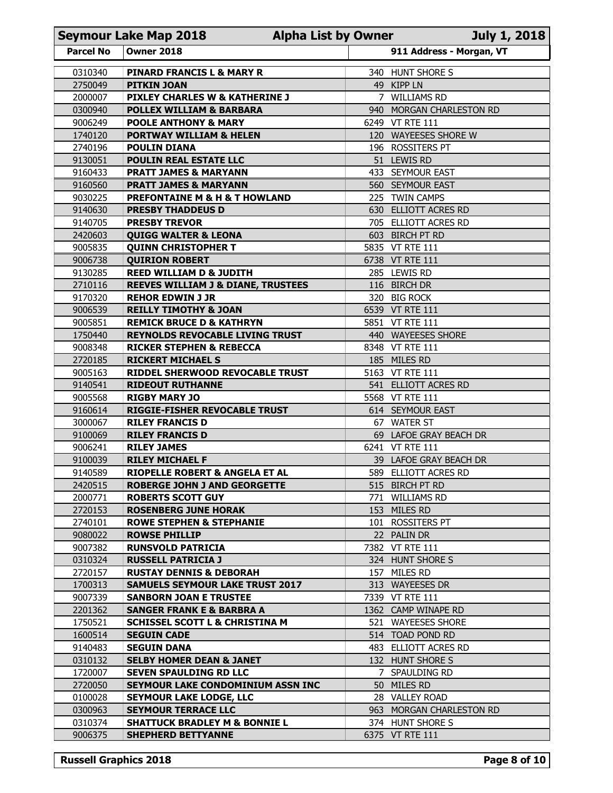| <b>Parcel No</b><br>0310340<br>2750049<br>2000007<br>0300940<br>9006249<br>1740120<br>2740196<br>9130051<br>9160433<br>9160560<br>9030225<br>9140630<br>9140705<br>2420603<br>9005835<br>9006738<br>9130285<br>2710116<br>9170320<br>9006539<br>9005851<br>1750440<br>9008348 | <b>Owner 2018</b><br><b>PINARD FRANCIS L &amp; MARY R</b><br><b>PITKIN JOAN</b><br>PIXLEY CHARLES W & KATHERINE J<br><b>POLLEX WILLIAM &amp; BARBARA</b><br><b>POOLE ANTHONY &amp; MARY</b><br><b>PORTWAY WILLIAM &amp; HELEN</b><br><b>POULIN DIANA</b><br><b>POULIN REAL ESTATE LLC</b><br><b>PRATT JAMES &amp; MARYANN</b><br><b>PRATT JAMES &amp; MARYANN</b><br><b>PREFONTAINE M &amp; H &amp; T HOWLAND</b> | 340 HUNT SHORE S<br>49 KIPP LN<br><b>WILLIAMS RD</b><br>7<br>940 MORGAN CHARLESTON RD<br>6249 VT RTE 111<br>120 WAYEESES SHORE W<br>196 ROSSITERS PT<br>51 LEWIS RD | 911 Address - Morgan, VT |
|-------------------------------------------------------------------------------------------------------------------------------------------------------------------------------------------------------------------------------------------------------------------------------|-------------------------------------------------------------------------------------------------------------------------------------------------------------------------------------------------------------------------------------------------------------------------------------------------------------------------------------------------------------------------------------------------------------------|---------------------------------------------------------------------------------------------------------------------------------------------------------------------|--------------------------|
|                                                                                                                                                                                                                                                                               |                                                                                                                                                                                                                                                                                                                                                                                                                   |                                                                                                                                                                     |                          |
|                                                                                                                                                                                                                                                                               |                                                                                                                                                                                                                                                                                                                                                                                                                   |                                                                                                                                                                     |                          |
|                                                                                                                                                                                                                                                                               |                                                                                                                                                                                                                                                                                                                                                                                                                   |                                                                                                                                                                     |                          |
|                                                                                                                                                                                                                                                                               |                                                                                                                                                                                                                                                                                                                                                                                                                   |                                                                                                                                                                     |                          |
|                                                                                                                                                                                                                                                                               |                                                                                                                                                                                                                                                                                                                                                                                                                   |                                                                                                                                                                     |                          |
|                                                                                                                                                                                                                                                                               |                                                                                                                                                                                                                                                                                                                                                                                                                   |                                                                                                                                                                     |                          |
|                                                                                                                                                                                                                                                                               |                                                                                                                                                                                                                                                                                                                                                                                                                   |                                                                                                                                                                     |                          |
|                                                                                                                                                                                                                                                                               |                                                                                                                                                                                                                                                                                                                                                                                                                   |                                                                                                                                                                     |                          |
|                                                                                                                                                                                                                                                                               |                                                                                                                                                                                                                                                                                                                                                                                                                   | 433 SEYMOUR EAST                                                                                                                                                    |                          |
|                                                                                                                                                                                                                                                                               |                                                                                                                                                                                                                                                                                                                                                                                                                   | 560 SEYMOUR EAST<br><b>TWIN CAMPS</b><br>225                                                                                                                        |                          |
|                                                                                                                                                                                                                                                                               | <b>PRESBY THADDEUS D</b>                                                                                                                                                                                                                                                                                                                                                                                          | 630 ELLIOTT ACRES RD                                                                                                                                                |                          |
|                                                                                                                                                                                                                                                                               | <b>PRESBY TREVOR</b>                                                                                                                                                                                                                                                                                                                                                                                              | 705 ELLIOTT ACRES RD                                                                                                                                                |                          |
|                                                                                                                                                                                                                                                                               | <b>QUIGG WALTER &amp; LEONA</b>                                                                                                                                                                                                                                                                                                                                                                                   | 603 BIRCH PT RD                                                                                                                                                     |                          |
|                                                                                                                                                                                                                                                                               | <b>QUINN CHRISTOPHER T</b>                                                                                                                                                                                                                                                                                                                                                                                        | 5835 VT RTE 111                                                                                                                                                     |                          |
|                                                                                                                                                                                                                                                                               | <b>QUIRION ROBERT</b>                                                                                                                                                                                                                                                                                                                                                                                             | 6738 VT RTE 111                                                                                                                                                     |                          |
|                                                                                                                                                                                                                                                                               | <b>REED WILLIAM D &amp; JUDITH</b><br><b>REEVES WILLIAM J &amp; DIANE, TRUSTEES</b>                                                                                                                                                                                                                                                                                                                               | 285 LEWIS RD<br>116 BIRCH DR                                                                                                                                        |                          |
|                                                                                                                                                                                                                                                                               | <b>REHOR EDWIN J JR</b>                                                                                                                                                                                                                                                                                                                                                                                           | 320 BIG ROCK                                                                                                                                                        |                          |
|                                                                                                                                                                                                                                                                               | <b>REILLY TIMOTHY &amp; JOAN</b>                                                                                                                                                                                                                                                                                                                                                                                  | 6539 VT RTE 111                                                                                                                                                     |                          |
|                                                                                                                                                                                                                                                                               | <b>REMICK BRUCE D &amp; KATHRYN</b>                                                                                                                                                                                                                                                                                                                                                                               | 5851 VT RTE 111                                                                                                                                                     |                          |
|                                                                                                                                                                                                                                                                               | <b>REYNOLDS REVOCABLE LIVING TRUST</b>                                                                                                                                                                                                                                                                                                                                                                            | 440 WAYEESES SHORE                                                                                                                                                  |                          |
| 2720185                                                                                                                                                                                                                                                                       | <b>RICKER STEPHEN &amp; REBECCA</b><br><b>RICKERT MICHAEL S</b>                                                                                                                                                                                                                                                                                                                                                   | 8348 VT RTE 111<br>185 MILES RD                                                                                                                                     |                          |
| 9005163                                                                                                                                                                                                                                                                       | RIDDEL SHERWOOD REVOCABLE TRUST                                                                                                                                                                                                                                                                                                                                                                                   | 5163 VT RTE 111                                                                                                                                                     |                          |
| 9140541                                                                                                                                                                                                                                                                       | <b>RIDEOUT RUTHANNE</b>                                                                                                                                                                                                                                                                                                                                                                                           | 541 ELLIOTT ACRES RD                                                                                                                                                |                          |
| 9005568                                                                                                                                                                                                                                                                       | <b>RIGBY MARY JO</b>                                                                                                                                                                                                                                                                                                                                                                                              | 5568 VT RTE 111                                                                                                                                                     |                          |
| 9160614                                                                                                                                                                                                                                                                       | <b>RIGGIE-FISHER REVOCABLE TRUST</b>                                                                                                                                                                                                                                                                                                                                                                              | 614 SEYMOUR EAST                                                                                                                                                    |                          |
| 3000067                                                                                                                                                                                                                                                                       | <b>RILEY FRANCIS D</b>                                                                                                                                                                                                                                                                                                                                                                                            | 67 WATER ST                                                                                                                                                         |                          |
| 9100069<br>9006241                                                                                                                                                                                                                                                            | <b>RILEY FRANCIS D</b><br><b>RILEY JAMES</b>                                                                                                                                                                                                                                                                                                                                                                      | 69 LAFOE GRAY BEACH DR<br>6241 VT RTE 111                                                                                                                           |                          |
| 9100039                                                                                                                                                                                                                                                                       | <b>RILEY MICHAEL F</b>                                                                                                                                                                                                                                                                                                                                                                                            | 39 LAFOE GRAY BEACH DR                                                                                                                                              |                          |
| 9140589                                                                                                                                                                                                                                                                       | <b>RIOPELLE ROBERT &amp; ANGELA ET AL</b>                                                                                                                                                                                                                                                                                                                                                                         | 589 ELLIOTT ACRES RD                                                                                                                                                |                          |
| 2420515                                                                                                                                                                                                                                                                       | <b>ROBERGE JOHN J AND GEORGETTE</b>                                                                                                                                                                                                                                                                                                                                                                               | 515 BIRCH PT RD                                                                                                                                                     |                          |
| 2000771                                                                                                                                                                                                                                                                       | <b>ROBERTS SCOTT GUY</b>                                                                                                                                                                                                                                                                                                                                                                                          | 771 WILLIAMS RD                                                                                                                                                     |                          |
| 2720153                                                                                                                                                                                                                                                                       | <b>ROSENBERG JUNE HORAK</b>                                                                                                                                                                                                                                                                                                                                                                                       | 153 MILES RD                                                                                                                                                        |                          |
| 2740101<br>9080022                                                                                                                                                                                                                                                            | <b>ROWE STEPHEN &amp; STEPHANIE</b><br><b>ROWSE PHILLIP</b>                                                                                                                                                                                                                                                                                                                                                       | 101 ROSSITERS PT<br>22 PALIN DR                                                                                                                                     |                          |
| 9007382                                                                                                                                                                                                                                                                       | <b>RUNSVOLD PATRICIA</b>                                                                                                                                                                                                                                                                                                                                                                                          | 7382 VT RTE 111                                                                                                                                                     |                          |
| 0310324                                                                                                                                                                                                                                                                       | <b>RUSSELL PATRICIA J</b>                                                                                                                                                                                                                                                                                                                                                                                         | 324 HUNT SHORE S                                                                                                                                                    |                          |
| 2720157                                                                                                                                                                                                                                                                       | <b>RUSTAY DENNIS &amp; DEBORAH</b>                                                                                                                                                                                                                                                                                                                                                                                | 157 MILES RD                                                                                                                                                        |                          |
| 1700313                                                                                                                                                                                                                                                                       | <b>SAMUELS SEYMOUR LAKE TRUST 2017</b>                                                                                                                                                                                                                                                                                                                                                                            | 313 WAYEESES DR                                                                                                                                                     |                          |
| 9007339                                                                                                                                                                                                                                                                       | <b>SANBORN JOAN E TRUSTEE</b>                                                                                                                                                                                                                                                                                                                                                                                     | 7339 VT RTE 111                                                                                                                                                     |                          |
| 2201362<br>1750521                                                                                                                                                                                                                                                            | <b>SANGER FRANK E &amp; BARBRA A</b><br><b>SCHISSEL SCOTT L &amp; CHRISTINA M</b>                                                                                                                                                                                                                                                                                                                                 | 1362 CAMP WINAPE RD<br>521 WAYEESES SHORE                                                                                                                           |                          |
| 1600514                                                                                                                                                                                                                                                                       | <b>SEGUIN CADE</b>                                                                                                                                                                                                                                                                                                                                                                                                | 514 TOAD POND RD                                                                                                                                                    |                          |
| 9140483                                                                                                                                                                                                                                                                       | <b>SEGUIN DANA</b>                                                                                                                                                                                                                                                                                                                                                                                                | 483 ELLIOTT ACRES RD                                                                                                                                                |                          |
| 0310132                                                                                                                                                                                                                                                                       | <b>SELBY HOMER DEAN &amp; JANET</b>                                                                                                                                                                                                                                                                                                                                                                               | 132 HUNT SHORE S                                                                                                                                                    |                          |
| 1720007                                                                                                                                                                                                                                                                       | <b>SEVEN SPAULDING RD LLC</b>                                                                                                                                                                                                                                                                                                                                                                                     | 7 SPAULDING RD                                                                                                                                                      |                          |
| 2720050                                                                                                                                                                                                                                                                       | SEYMOUR LAKE CONDOMINIUM ASSN INC                                                                                                                                                                                                                                                                                                                                                                                 | 50 MILES RD                                                                                                                                                         |                          |
| 0100028<br>0300963                                                                                                                                                                                                                                                            | <b>SEYMOUR LAKE LODGE, LLC</b><br><b>SEYMOUR TERRACE LLC</b>                                                                                                                                                                                                                                                                                                                                                      | 28 VALLEY ROAD<br>963 MORGAN CHARLESTON RD                                                                                                                          |                          |
| 0310374                                                                                                                                                                                                                                                                       | <b>SHATTUCK BRADLEY M &amp; BONNIE L</b>                                                                                                                                                                                                                                                                                                                                                                          | 374 HUNT SHORE S                                                                                                                                                    |                          |
| 9006375                                                                                                                                                                                                                                                                       | <b>SHEPHERD BETTYANNE</b>                                                                                                                                                                                                                                                                                                                                                                                         | 6375 VT RTE 111                                                                                                                                                     |                          |
| <b>Russell Graphics 2018</b>                                                                                                                                                                                                                                                  |                                                                                                                                                                                                                                                                                                                                                                                                                   |                                                                                                                                                                     | Page 8 of 10             |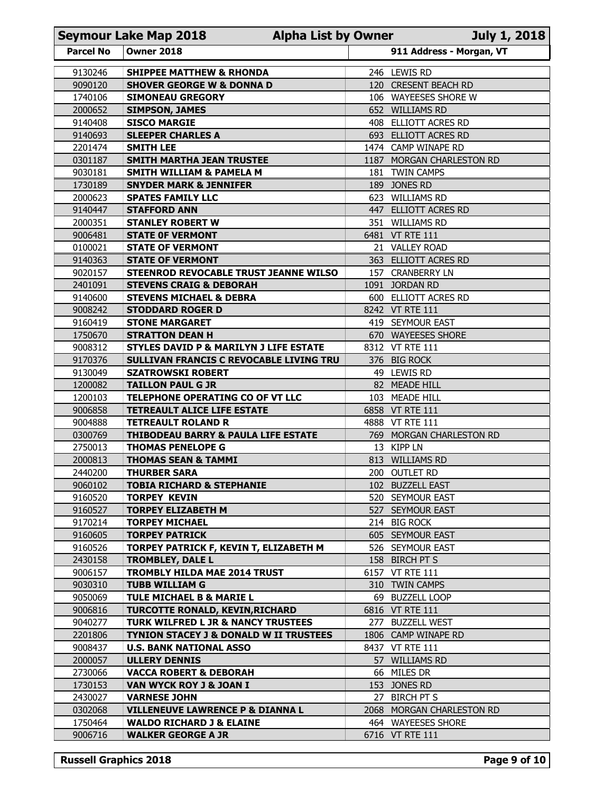| 911 Address - Morgan, VT<br><b>Parcel No</b><br><b>Owner 2018</b><br>9130246<br><b>SHIPPEE MATTHEW &amp; RHONDA</b><br>246 LEWIS RD<br>120 CRESENT BEACH RD<br>9090120<br><b>SHOVER GEORGE W &amp; DONNA D</b><br>1740106<br>106 WAYEESES SHORE W<br><b>SIMONEAU GREGORY</b><br>2000652<br>652 WILLIAMS RD<br><b>SIMPSON, JAMES</b><br>9140408<br><b>SISCO MARGIE</b><br>408 ELLIOTT ACRES RD<br>9140693<br>693 ELLIOTT ACRES RD<br><b>SLEEPER CHARLES A</b><br>2201474<br><b>SMITH LEE</b><br>1474 CAMP WINAPE RD<br>0301187<br><b>SMITH MARTHA JEAN TRUSTEE</b><br>1187 MORGAN CHARLESTON RD<br>9030181<br>181 TWIN CAMPS<br><b>SMITH WILLIAM &amp; PAMELA M</b><br>1730189<br>189 JONES RD<br><b>SNYDER MARK &amp; JENNIFER</b><br>2000623<br>623 WILLIAMS RD<br><b>SPATES FAMILY LLC</b><br>447 ELLIOTT ACRES RD<br>9140447<br><b>STAFFORD ANN</b><br>351 WILLIAMS RD<br>2000351<br><b>STANLEY ROBERT W</b><br>9006481<br><b>STATE OF VERMONT</b><br>6481 VT RTE 111<br>0100021<br><b>STATE OF VERMONT</b><br>21 VALLEY ROAD<br>9140363<br><b>STATE OF VERMONT</b><br>363 ELLIOTT ACRES RD<br>9020157<br>STEENROD REVOCABLE TRUST JEANNE WILSO<br>157 CRANBERRY LN<br>2401091<br><b>STEVENS CRAIG &amp; DEBORAH</b><br>1091 JORDAN RD<br>9140600<br><b>STEVENS MICHAEL &amp; DEBRA</b><br>600 ELLIOTT ACRES RD<br>9008242<br>8242 VT RTE 111<br><b>STODDARD ROGER D</b><br>9160419<br>419 SEYMOUR EAST<br><b>STONE MARGARET</b><br>1750670<br>670 WAYEESES SHORE<br><b>STRATTON DEAN H</b><br>9008312<br><b>STYLES DAVID P &amp; MARILYN J LIFE ESTATE</b><br>8312 VT RTE 111<br>9170376<br>SULLIVAN FRANCIS C REVOCABLE LIVING TRU<br>376 BIG ROCK<br>9130049<br><b>SZATROWSKI ROBERT</b><br>49 LEWIS RD<br>1200082<br><b>TAILLON PAUL G JR</b><br>82 MEADE HILL<br>1200103<br>TELEPHONE OPERATING CO OF VT LLC<br>103 MEADE HILL<br>9006858<br><b>TETREAULT ALICE LIFE ESTATE</b><br>6858 VT RTE 111<br>9004888<br><b>TETREAULT ROLAND R</b><br>4888 VT RTE 111<br>0300769<br><b>THIBODEAU BARRY &amp; PAULA LIFE ESTATE</b><br>769 MORGAN CHARLESTON RD<br>2750013<br>13 KIPP LN<br><b>THOMAS PENELOPE G</b><br>2000813<br><b>THOMAS SEAN &amp; TAMMI</b><br>813 WILLIAMS RD<br>2440200<br><b>THURBER SARA</b><br>200 OUTLET RD<br>9060102<br>102 BUZZELL EAST<br><b>TOBIA RICHARD &amp; STEPHANIE</b><br>9160520<br><b>TORPEY KEVIN</b><br>520 SEYMOUR EAST<br>9160527<br>527 SEYMOUR EAST<br><b>TORPEY ELIZABETH M</b><br>9170214<br><b>TORPEY MICHAEL</b><br>214 BIG ROCK<br>9160605<br><b>TORPEY PATRICK</b><br>605 SEYMOUR EAST<br>TORPEY PATRICK F, KEVIN T, ELIZABETH M<br>9160526<br>526 SEYMOUR EAST<br>2430158<br><b>TROMBLEY, DALE L</b><br>158 BIRCH PT S<br>9006157<br>TROMBLY HILDA MAE 2014 TRUST<br>6157 VT RTE 111<br>9030310<br><b>TUBB WILLIAM G</b><br>310 TWIN CAMPS<br>9050069<br><b>TULE MICHAEL B &amp; MARIE L</b><br>69 BUZZELL LOOP<br>9006816<br>6816 VT RTE 111<br>TURCOTTE RONALD, KEVIN, RICHARD<br>9040277<br><b>TURK WILFRED L JR &amp; NANCY TRUSTEES</b><br>277 BUZZELL WEST<br>2201806<br><b>TYNION STACEY J &amp; DONALD W II TRUSTEES</b><br>1806 CAMP WINAPE RD<br>9008437<br>8437 VT RTE 111<br><b>U.S. BANK NATIONAL ASSO</b><br>2000057<br><b>ULLERY DENNIS</b><br>57 WILLIAMS RD<br>2730066<br>66 MILES DR<br><b>VACCA ROBERT &amp; DEBORAH</b><br>1730153<br>VAN WYCK ROY J & JOAN I<br>153 JONES RD<br>2430027<br><b>VARNESE JOHN</b><br>27 BIRCH PT S<br>0302068<br>2068 MORGAN CHARLESTON RD<br><b>VILLENEUVE LAWRENCE P &amp; DIANNA L</b><br>1750464<br>464 WAYEESES SHORE<br><b>WALDO RICHARD J &amp; ELAINE</b><br>9006716<br><b>WALKER GEORGE A JR</b><br>6716 VT RTE 111 | <b>Seymour Lake Map 2018</b><br><b>Alpha List by Owner</b> | July 1, 2018 |
|--------------------------------------------------------------------------------------------------------------------------------------------------------------------------------------------------------------------------------------------------------------------------------------------------------------------------------------------------------------------------------------------------------------------------------------------------------------------------------------------------------------------------------------------------------------------------------------------------------------------------------------------------------------------------------------------------------------------------------------------------------------------------------------------------------------------------------------------------------------------------------------------------------------------------------------------------------------------------------------------------------------------------------------------------------------------------------------------------------------------------------------------------------------------------------------------------------------------------------------------------------------------------------------------------------------------------------------------------------------------------------------------------------------------------------------------------------------------------------------------------------------------------------------------------------------------------------------------------------------------------------------------------------------------------------------------------------------------------------------------------------------------------------------------------------------------------------------------------------------------------------------------------------------------------------------------------------------------------------------------------------------------------------------------------------------------------------------------------------------------------------------------------------------------------------------------------------------------------------------------------------------------------------------------------------------------------------------------------------------------------------------------------------------------------------------------------------------------------------------------------------------------------------------------------------------------------------------------------------------------------------------------------------------------------------------------------------------------------------------------------------------------------------------------------------------------------------------------------------------------------------------------------------------------------------------------------------------------------------------------------------------------------------------------------------------------------------------------------------------------------------------------------------------------------------------------------------------------------------------------------------------------------------------------------------------------------------------------------------------------------------------------------------------------------------------------------------------------------------------------------------------------------------------------------------------------------------------------------------------------------------------|------------------------------------------------------------|--------------|
|                                                                                                                                                                                                                                                                                                                                                                                                                                                                                                                                                                                                                                                                                                                                                                                                                                                                                                                                                                                                                                                                                                                                                                                                                                                                                                                                                                                                                                                                                                                                                                                                                                                                                                                                                                                                                                                                                                                                                                                                                                                                                                                                                                                                                                                                                                                                                                                                                                                                                                                                                                                                                                                                                                                                                                                                                                                                                                                                                                                                                                                                                                                                                                                                                                                                                                                                                                                                                                                                                                                                                                                                                                      |                                                            |              |
|                                                                                                                                                                                                                                                                                                                                                                                                                                                                                                                                                                                                                                                                                                                                                                                                                                                                                                                                                                                                                                                                                                                                                                                                                                                                                                                                                                                                                                                                                                                                                                                                                                                                                                                                                                                                                                                                                                                                                                                                                                                                                                                                                                                                                                                                                                                                                                                                                                                                                                                                                                                                                                                                                                                                                                                                                                                                                                                                                                                                                                                                                                                                                                                                                                                                                                                                                                                                                                                                                                                                                                                                                                      |                                                            |              |
|                                                                                                                                                                                                                                                                                                                                                                                                                                                                                                                                                                                                                                                                                                                                                                                                                                                                                                                                                                                                                                                                                                                                                                                                                                                                                                                                                                                                                                                                                                                                                                                                                                                                                                                                                                                                                                                                                                                                                                                                                                                                                                                                                                                                                                                                                                                                                                                                                                                                                                                                                                                                                                                                                                                                                                                                                                                                                                                                                                                                                                                                                                                                                                                                                                                                                                                                                                                                                                                                                                                                                                                                                                      |                                                            |              |
|                                                                                                                                                                                                                                                                                                                                                                                                                                                                                                                                                                                                                                                                                                                                                                                                                                                                                                                                                                                                                                                                                                                                                                                                                                                                                                                                                                                                                                                                                                                                                                                                                                                                                                                                                                                                                                                                                                                                                                                                                                                                                                                                                                                                                                                                                                                                                                                                                                                                                                                                                                                                                                                                                                                                                                                                                                                                                                                                                                                                                                                                                                                                                                                                                                                                                                                                                                                                                                                                                                                                                                                                                                      |                                                            |              |
|                                                                                                                                                                                                                                                                                                                                                                                                                                                                                                                                                                                                                                                                                                                                                                                                                                                                                                                                                                                                                                                                                                                                                                                                                                                                                                                                                                                                                                                                                                                                                                                                                                                                                                                                                                                                                                                                                                                                                                                                                                                                                                                                                                                                                                                                                                                                                                                                                                                                                                                                                                                                                                                                                                                                                                                                                                                                                                                                                                                                                                                                                                                                                                                                                                                                                                                                                                                                                                                                                                                                                                                                                                      |                                                            |              |
|                                                                                                                                                                                                                                                                                                                                                                                                                                                                                                                                                                                                                                                                                                                                                                                                                                                                                                                                                                                                                                                                                                                                                                                                                                                                                                                                                                                                                                                                                                                                                                                                                                                                                                                                                                                                                                                                                                                                                                                                                                                                                                                                                                                                                                                                                                                                                                                                                                                                                                                                                                                                                                                                                                                                                                                                                                                                                                                                                                                                                                                                                                                                                                                                                                                                                                                                                                                                                                                                                                                                                                                                                                      |                                                            |              |
|                                                                                                                                                                                                                                                                                                                                                                                                                                                                                                                                                                                                                                                                                                                                                                                                                                                                                                                                                                                                                                                                                                                                                                                                                                                                                                                                                                                                                                                                                                                                                                                                                                                                                                                                                                                                                                                                                                                                                                                                                                                                                                                                                                                                                                                                                                                                                                                                                                                                                                                                                                                                                                                                                                                                                                                                                                                                                                                                                                                                                                                                                                                                                                                                                                                                                                                                                                                                                                                                                                                                                                                                                                      |                                                            |              |
|                                                                                                                                                                                                                                                                                                                                                                                                                                                                                                                                                                                                                                                                                                                                                                                                                                                                                                                                                                                                                                                                                                                                                                                                                                                                                                                                                                                                                                                                                                                                                                                                                                                                                                                                                                                                                                                                                                                                                                                                                                                                                                                                                                                                                                                                                                                                                                                                                                                                                                                                                                                                                                                                                                                                                                                                                                                                                                                                                                                                                                                                                                                                                                                                                                                                                                                                                                                                                                                                                                                                                                                                                                      |                                                            |              |
|                                                                                                                                                                                                                                                                                                                                                                                                                                                                                                                                                                                                                                                                                                                                                                                                                                                                                                                                                                                                                                                                                                                                                                                                                                                                                                                                                                                                                                                                                                                                                                                                                                                                                                                                                                                                                                                                                                                                                                                                                                                                                                                                                                                                                                                                                                                                                                                                                                                                                                                                                                                                                                                                                                                                                                                                                                                                                                                                                                                                                                                                                                                                                                                                                                                                                                                                                                                                                                                                                                                                                                                                                                      |                                                            |              |
|                                                                                                                                                                                                                                                                                                                                                                                                                                                                                                                                                                                                                                                                                                                                                                                                                                                                                                                                                                                                                                                                                                                                                                                                                                                                                                                                                                                                                                                                                                                                                                                                                                                                                                                                                                                                                                                                                                                                                                                                                                                                                                                                                                                                                                                                                                                                                                                                                                                                                                                                                                                                                                                                                                                                                                                                                                                                                                                                                                                                                                                                                                                                                                                                                                                                                                                                                                                                                                                                                                                                                                                                                                      |                                                            |              |
|                                                                                                                                                                                                                                                                                                                                                                                                                                                                                                                                                                                                                                                                                                                                                                                                                                                                                                                                                                                                                                                                                                                                                                                                                                                                                                                                                                                                                                                                                                                                                                                                                                                                                                                                                                                                                                                                                                                                                                                                                                                                                                                                                                                                                                                                                                                                                                                                                                                                                                                                                                                                                                                                                                                                                                                                                                                                                                                                                                                                                                                                                                                                                                                                                                                                                                                                                                                                                                                                                                                                                                                                                                      |                                                            |              |
|                                                                                                                                                                                                                                                                                                                                                                                                                                                                                                                                                                                                                                                                                                                                                                                                                                                                                                                                                                                                                                                                                                                                                                                                                                                                                                                                                                                                                                                                                                                                                                                                                                                                                                                                                                                                                                                                                                                                                                                                                                                                                                                                                                                                                                                                                                                                                                                                                                                                                                                                                                                                                                                                                                                                                                                                                                                                                                                                                                                                                                                                                                                                                                                                                                                                                                                                                                                                                                                                                                                                                                                                                                      |                                                            |              |
|                                                                                                                                                                                                                                                                                                                                                                                                                                                                                                                                                                                                                                                                                                                                                                                                                                                                                                                                                                                                                                                                                                                                                                                                                                                                                                                                                                                                                                                                                                                                                                                                                                                                                                                                                                                                                                                                                                                                                                                                                                                                                                                                                                                                                                                                                                                                                                                                                                                                                                                                                                                                                                                                                                                                                                                                                                                                                                                                                                                                                                                                                                                                                                                                                                                                                                                                                                                                                                                                                                                                                                                                                                      |                                                            |              |
|                                                                                                                                                                                                                                                                                                                                                                                                                                                                                                                                                                                                                                                                                                                                                                                                                                                                                                                                                                                                                                                                                                                                                                                                                                                                                                                                                                                                                                                                                                                                                                                                                                                                                                                                                                                                                                                                                                                                                                                                                                                                                                                                                                                                                                                                                                                                                                                                                                                                                                                                                                                                                                                                                                                                                                                                                                                                                                                                                                                                                                                                                                                                                                                                                                                                                                                                                                                                                                                                                                                                                                                                                                      |                                                            |              |
|                                                                                                                                                                                                                                                                                                                                                                                                                                                                                                                                                                                                                                                                                                                                                                                                                                                                                                                                                                                                                                                                                                                                                                                                                                                                                                                                                                                                                                                                                                                                                                                                                                                                                                                                                                                                                                                                                                                                                                                                                                                                                                                                                                                                                                                                                                                                                                                                                                                                                                                                                                                                                                                                                                                                                                                                                                                                                                                                                                                                                                                                                                                                                                                                                                                                                                                                                                                                                                                                                                                                                                                                                                      |                                                            |              |
|                                                                                                                                                                                                                                                                                                                                                                                                                                                                                                                                                                                                                                                                                                                                                                                                                                                                                                                                                                                                                                                                                                                                                                                                                                                                                                                                                                                                                                                                                                                                                                                                                                                                                                                                                                                                                                                                                                                                                                                                                                                                                                                                                                                                                                                                                                                                                                                                                                                                                                                                                                                                                                                                                                                                                                                                                                                                                                                                                                                                                                                                                                                                                                                                                                                                                                                                                                                                                                                                                                                                                                                                                                      |                                                            |              |
|                                                                                                                                                                                                                                                                                                                                                                                                                                                                                                                                                                                                                                                                                                                                                                                                                                                                                                                                                                                                                                                                                                                                                                                                                                                                                                                                                                                                                                                                                                                                                                                                                                                                                                                                                                                                                                                                                                                                                                                                                                                                                                                                                                                                                                                                                                                                                                                                                                                                                                                                                                                                                                                                                                                                                                                                                                                                                                                                                                                                                                                                                                                                                                                                                                                                                                                                                                                                                                                                                                                                                                                                                                      |                                                            |              |
|                                                                                                                                                                                                                                                                                                                                                                                                                                                                                                                                                                                                                                                                                                                                                                                                                                                                                                                                                                                                                                                                                                                                                                                                                                                                                                                                                                                                                                                                                                                                                                                                                                                                                                                                                                                                                                                                                                                                                                                                                                                                                                                                                                                                                                                                                                                                                                                                                                                                                                                                                                                                                                                                                                                                                                                                                                                                                                                                                                                                                                                                                                                                                                                                                                                                                                                                                                                                                                                                                                                                                                                                                                      |                                                            |              |
|                                                                                                                                                                                                                                                                                                                                                                                                                                                                                                                                                                                                                                                                                                                                                                                                                                                                                                                                                                                                                                                                                                                                                                                                                                                                                                                                                                                                                                                                                                                                                                                                                                                                                                                                                                                                                                                                                                                                                                                                                                                                                                                                                                                                                                                                                                                                                                                                                                                                                                                                                                                                                                                                                                                                                                                                                                                                                                                                                                                                                                                                                                                                                                                                                                                                                                                                                                                                                                                                                                                                                                                                                                      |                                                            |              |
|                                                                                                                                                                                                                                                                                                                                                                                                                                                                                                                                                                                                                                                                                                                                                                                                                                                                                                                                                                                                                                                                                                                                                                                                                                                                                                                                                                                                                                                                                                                                                                                                                                                                                                                                                                                                                                                                                                                                                                                                                                                                                                                                                                                                                                                                                                                                                                                                                                                                                                                                                                                                                                                                                                                                                                                                                                                                                                                                                                                                                                                                                                                                                                                                                                                                                                                                                                                                                                                                                                                                                                                                                                      |                                                            |              |
|                                                                                                                                                                                                                                                                                                                                                                                                                                                                                                                                                                                                                                                                                                                                                                                                                                                                                                                                                                                                                                                                                                                                                                                                                                                                                                                                                                                                                                                                                                                                                                                                                                                                                                                                                                                                                                                                                                                                                                                                                                                                                                                                                                                                                                                                                                                                                                                                                                                                                                                                                                                                                                                                                                                                                                                                                                                                                                                                                                                                                                                                                                                                                                                                                                                                                                                                                                                                                                                                                                                                                                                                                                      |                                                            |              |
|                                                                                                                                                                                                                                                                                                                                                                                                                                                                                                                                                                                                                                                                                                                                                                                                                                                                                                                                                                                                                                                                                                                                                                                                                                                                                                                                                                                                                                                                                                                                                                                                                                                                                                                                                                                                                                                                                                                                                                                                                                                                                                                                                                                                                                                                                                                                                                                                                                                                                                                                                                                                                                                                                                                                                                                                                                                                                                                                                                                                                                                                                                                                                                                                                                                                                                                                                                                                                                                                                                                                                                                                                                      |                                                            |              |
|                                                                                                                                                                                                                                                                                                                                                                                                                                                                                                                                                                                                                                                                                                                                                                                                                                                                                                                                                                                                                                                                                                                                                                                                                                                                                                                                                                                                                                                                                                                                                                                                                                                                                                                                                                                                                                                                                                                                                                                                                                                                                                                                                                                                                                                                                                                                                                                                                                                                                                                                                                                                                                                                                                                                                                                                                                                                                                                                                                                                                                                                                                                                                                                                                                                                                                                                                                                                                                                                                                                                                                                                                                      |                                                            |              |
|                                                                                                                                                                                                                                                                                                                                                                                                                                                                                                                                                                                                                                                                                                                                                                                                                                                                                                                                                                                                                                                                                                                                                                                                                                                                                                                                                                                                                                                                                                                                                                                                                                                                                                                                                                                                                                                                                                                                                                                                                                                                                                                                                                                                                                                                                                                                                                                                                                                                                                                                                                                                                                                                                                                                                                                                                                                                                                                                                                                                                                                                                                                                                                                                                                                                                                                                                                                                                                                                                                                                                                                                                                      |                                                            |              |
|                                                                                                                                                                                                                                                                                                                                                                                                                                                                                                                                                                                                                                                                                                                                                                                                                                                                                                                                                                                                                                                                                                                                                                                                                                                                                                                                                                                                                                                                                                                                                                                                                                                                                                                                                                                                                                                                                                                                                                                                                                                                                                                                                                                                                                                                                                                                                                                                                                                                                                                                                                                                                                                                                                                                                                                                                                                                                                                                                                                                                                                                                                                                                                                                                                                                                                                                                                                                                                                                                                                                                                                                                                      |                                                            |              |
|                                                                                                                                                                                                                                                                                                                                                                                                                                                                                                                                                                                                                                                                                                                                                                                                                                                                                                                                                                                                                                                                                                                                                                                                                                                                                                                                                                                                                                                                                                                                                                                                                                                                                                                                                                                                                                                                                                                                                                                                                                                                                                                                                                                                                                                                                                                                                                                                                                                                                                                                                                                                                                                                                                                                                                                                                                                                                                                                                                                                                                                                                                                                                                                                                                                                                                                                                                                                                                                                                                                                                                                                                                      |                                                            |              |
|                                                                                                                                                                                                                                                                                                                                                                                                                                                                                                                                                                                                                                                                                                                                                                                                                                                                                                                                                                                                                                                                                                                                                                                                                                                                                                                                                                                                                                                                                                                                                                                                                                                                                                                                                                                                                                                                                                                                                                                                                                                                                                                                                                                                                                                                                                                                                                                                                                                                                                                                                                                                                                                                                                                                                                                                                                                                                                                                                                                                                                                                                                                                                                                                                                                                                                                                                                                                                                                                                                                                                                                                                                      |                                                            |              |
|                                                                                                                                                                                                                                                                                                                                                                                                                                                                                                                                                                                                                                                                                                                                                                                                                                                                                                                                                                                                                                                                                                                                                                                                                                                                                                                                                                                                                                                                                                                                                                                                                                                                                                                                                                                                                                                                                                                                                                                                                                                                                                                                                                                                                                                                                                                                                                                                                                                                                                                                                                                                                                                                                                                                                                                                                                                                                                                                                                                                                                                                                                                                                                                                                                                                                                                                                                                                                                                                                                                                                                                                                                      |                                                            |              |
|                                                                                                                                                                                                                                                                                                                                                                                                                                                                                                                                                                                                                                                                                                                                                                                                                                                                                                                                                                                                                                                                                                                                                                                                                                                                                                                                                                                                                                                                                                                                                                                                                                                                                                                                                                                                                                                                                                                                                                                                                                                                                                                                                                                                                                                                                                                                                                                                                                                                                                                                                                                                                                                                                                                                                                                                                                                                                                                                                                                                                                                                                                                                                                                                                                                                                                                                                                                                                                                                                                                                                                                                                                      |                                                            |              |
|                                                                                                                                                                                                                                                                                                                                                                                                                                                                                                                                                                                                                                                                                                                                                                                                                                                                                                                                                                                                                                                                                                                                                                                                                                                                                                                                                                                                                                                                                                                                                                                                                                                                                                                                                                                                                                                                                                                                                                                                                                                                                                                                                                                                                                                                                                                                                                                                                                                                                                                                                                                                                                                                                                                                                                                                                                                                                                                                                                                                                                                                                                                                                                                                                                                                                                                                                                                                                                                                                                                                                                                                                                      |                                                            |              |
|                                                                                                                                                                                                                                                                                                                                                                                                                                                                                                                                                                                                                                                                                                                                                                                                                                                                                                                                                                                                                                                                                                                                                                                                                                                                                                                                                                                                                                                                                                                                                                                                                                                                                                                                                                                                                                                                                                                                                                                                                                                                                                                                                                                                                                                                                                                                                                                                                                                                                                                                                                                                                                                                                                                                                                                                                                                                                                                                                                                                                                                                                                                                                                                                                                                                                                                                                                                                                                                                                                                                                                                                                                      |                                                            |              |
|                                                                                                                                                                                                                                                                                                                                                                                                                                                                                                                                                                                                                                                                                                                                                                                                                                                                                                                                                                                                                                                                                                                                                                                                                                                                                                                                                                                                                                                                                                                                                                                                                                                                                                                                                                                                                                                                                                                                                                                                                                                                                                                                                                                                                                                                                                                                                                                                                                                                                                                                                                                                                                                                                                                                                                                                                                                                                                                                                                                                                                                                                                                                                                                                                                                                                                                                                                                                                                                                                                                                                                                                                                      |                                                            |              |
|                                                                                                                                                                                                                                                                                                                                                                                                                                                                                                                                                                                                                                                                                                                                                                                                                                                                                                                                                                                                                                                                                                                                                                                                                                                                                                                                                                                                                                                                                                                                                                                                                                                                                                                                                                                                                                                                                                                                                                                                                                                                                                                                                                                                                                                                                                                                                                                                                                                                                                                                                                                                                                                                                                                                                                                                                                                                                                                                                                                                                                                                                                                                                                                                                                                                                                                                                                                                                                                                                                                                                                                                                                      |                                                            |              |
|                                                                                                                                                                                                                                                                                                                                                                                                                                                                                                                                                                                                                                                                                                                                                                                                                                                                                                                                                                                                                                                                                                                                                                                                                                                                                                                                                                                                                                                                                                                                                                                                                                                                                                                                                                                                                                                                                                                                                                                                                                                                                                                                                                                                                                                                                                                                                                                                                                                                                                                                                                                                                                                                                                                                                                                                                                                                                                                                                                                                                                                                                                                                                                                                                                                                                                                                                                                                                                                                                                                                                                                                                                      |                                                            |              |
|                                                                                                                                                                                                                                                                                                                                                                                                                                                                                                                                                                                                                                                                                                                                                                                                                                                                                                                                                                                                                                                                                                                                                                                                                                                                                                                                                                                                                                                                                                                                                                                                                                                                                                                                                                                                                                                                                                                                                                                                                                                                                                                                                                                                                                                                                                                                                                                                                                                                                                                                                                                                                                                                                                                                                                                                                                                                                                                                                                                                                                                                                                                                                                                                                                                                                                                                                                                                                                                                                                                                                                                                                                      |                                                            |              |
|                                                                                                                                                                                                                                                                                                                                                                                                                                                                                                                                                                                                                                                                                                                                                                                                                                                                                                                                                                                                                                                                                                                                                                                                                                                                                                                                                                                                                                                                                                                                                                                                                                                                                                                                                                                                                                                                                                                                                                                                                                                                                                                                                                                                                                                                                                                                                                                                                                                                                                                                                                                                                                                                                                                                                                                                                                                                                                                                                                                                                                                                                                                                                                                                                                                                                                                                                                                                                                                                                                                                                                                                                                      |                                                            |              |
|                                                                                                                                                                                                                                                                                                                                                                                                                                                                                                                                                                                                                                                                                                                                                                                                                                                                                                                                                                                                                                                                                                                                                                                                                                                                                                                                                                                                                                                                                                                                                                                                                                                                                                                                                                                                                                                                                                                                                                                                                                                                                                                                                                                                                                                                                                                                                                                                                                                                                                                                                                                                                                                                                                                                                                                                                                                                                                                                                                                                                                                                                                                                                                                                                                                                                                                                                                                                                                                                                                                                                                                                                                      |                                                            |              |
|                                                                                                                                                                                                                                                                                                                                                                                                                                                                                                                                                                                                                                                                                                                                                                                                                                                                                                                                                                                                                                                                                                                                                                                                                                                                                                                                                                                                                                                                                                                                                                                                                                                                                                                                                                                                                                                                                                                                                                                                                                                                                                                                                                                                                                                                                                                                                                                                                                                                                                                                                                                                                                                                                                                                                                                                                                                                                                                                                                                                                                                                                                                                                                                                                                                                                                                                                                                                                                                                                                                                                                                                                                      |                                                            |              |
|                                                                                                                                                                                                                                                                                                                                                                                                                                                                                                                                                                                                                                                                                                                                                                                                                                                                                                                                                                                                                                                                                                                                                                                                                                                                                                                                                                                                                                                                                                                                                                                                                                                                                                                                                                                                                                                                                                                                                                                                                                                                                                                                                                                                                                                                                                                                                                                                                                                                                                                                                                                                                                                                                                                                                                                                                                                                                                                                                                                                                                                                                                                                                                                                                                                                                                                                                                                                                                                                                                                                                                                                                                      |                                                            |              |
|                                                                                                                                                                                                                                                                                                                                                                                                                                                                                                                                                                                                                                                                                                                                                                                                                                                                                                                                                                                                                                                                                                                                                                                                                                                                                                                                                                                                                                                                                                                                                                                                                                                                                                                                                                                                                                                                                                                                                                                                                                                                                                                                                                                                                                                                                                                                                                                                                                                                                                                                                                                                                                                                                                                                                                                                                                                                                                                                                                                                                                                                                                                                                                                                                                                                                                                                                                                                                                                                                                                                                                                                                                      |                                                            |              |
|                                                                                                                                                                                                                                                                                                                                                                                                                                                                                                                                                                                                                                                                                                                                                                                                                                                                                                                                                                                                                                                                                                                                                                                                                                                                                                                                                                                                                                                                                                                                                                                                                                                                                                                                                                                                                                                                                                                                                                                                                                                                                                                                                                                                                                                                                                                                                                                                                                                                                                                                                                                                                                                                                                                                                                                                                                                                                                                                                                                                                                                                                                                                                                                                                                                                                                                                                                                                                                                                                                                                                                                                                                      |                                                            |              |
|                                                                                                                                                                                                                                                                                                                                                                                                                                                                                                                                                                                                                                                                                                                                                                                                                                                                                                                                                                                                                                                                                                                                                                                                                                                                                                                                                                                                                                                                                                                                                                                                                                                                                                                                                                                                                                                                                                                                                                                                                                                                                                                                                                                                                                                                                                                                                                                                                                                                                                                                                                                                                                                                                                                                                                                                                                                                                                                                                                                                                                                                                                                                                                                                                                                                                                                                                                                                                                                                                                                                                                                                                                      |                                                            |              |
|                                                                                                                                                                                                                                                                                                                                                                                                                                                                                                                                                                                                                                                                                                                                                                                                                                                                                                                                                                                                                                                                                                                                                                                                                                                                                                                                                                                                                                                                                                                                                                                                                                                                                                                                                                                                                                                                                                                                                                                                                                                                                                                                                                                                                                                                                                                                                                                                                                                                                                                                                                                                                                                                                                                                                                                                                                                                                                                                                                                                                                                                                                                                                                                                                                                                                                                                                                                                                                                                                                                                                                                                                                      |                                                            |              |
|                                                                                                                                                                                                                                                                                                                                                                                                                                                                                                                                                                                                                                                                                                                                                                                                                                                                                                                                                                                                                                                                                                                                                                                                                                                                                                                                                                                                                                                                                                                                                                                                                                                                                                                                                                                                                                                                                                                                                                                                                                                                                                                                                                                                                                                                                                                                                                                                                                                                                                                                                                                                                                                                                                                                                                                                                                                                                                                                                                                                                                                                                                                                                                                                                                                                                                                                                                                                                                                                                                                                                                                                                                      |                                                            |              |
|                                                                                                                                                                                                                                                                                                                                                                                                                                                                                                                                                                                                                                                                                                                                                                                                                                                                                                                                                                                                                                                                                                                                                                                                                                                                                                                                                                                                                                                                                                                                                                                                                                                                                                                                                                                                                                                                                                                                                                                                                                                                                                                                                                                                                                                                                                                                                                                                                                                                                                                                                                                                                                                                                                                                                                                                                                                                                                                                                                                                                                                                                                                                                                                                                                                                                                                                                                                                                                                                                                                                                                                                                                      |                                                            |              |
|                                                                                                                                                                                                                                                                                                                                                                                                                                                                                                                                                                                                                                                                                                                                                                                                                                                                                                                                                                                                                                                                                                                                                                                                                                                                                                                                                                                                                                                                                                                                                                                                                                                                                                                                                                                                                                                                                                                                                                                                                                                                                                                                                                                                                                                                                                                                                                                                                                                                                                                                                                                                                                                                                                                                                                                                                                                                                                                                                                                                                                                                                                                                                                                                                                                                                                                                                                                                                                                                                                                                                                                                                                      |                                                            |              |